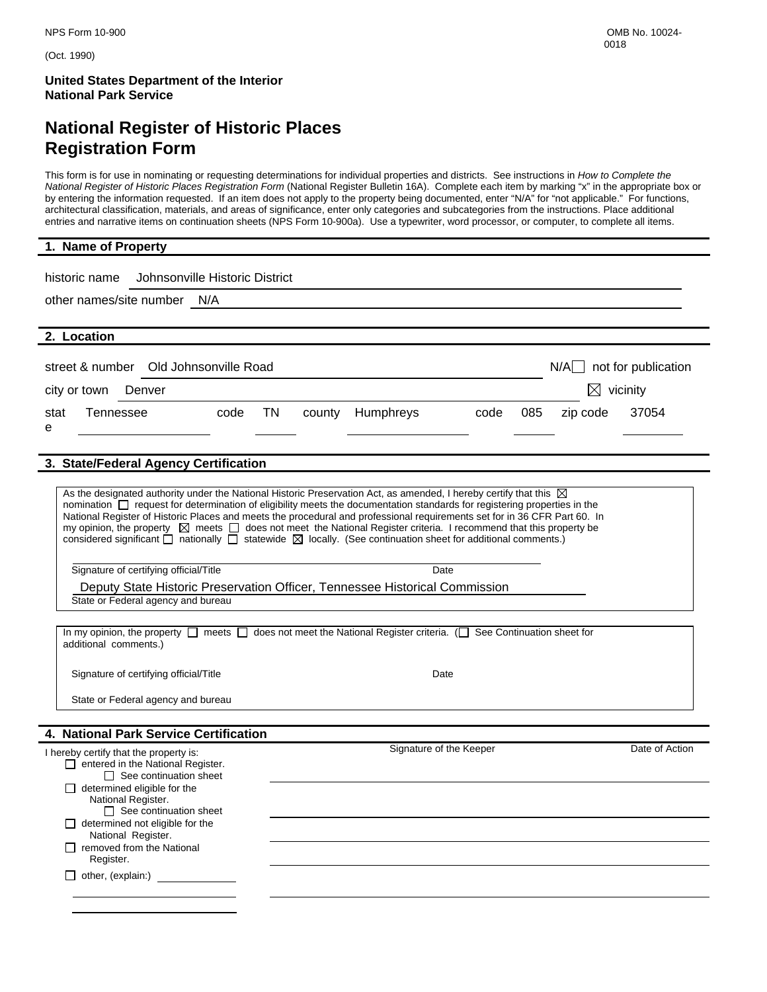(Oct. 1990)

**United States Department of the Interior National Park Service** 

# **National Register of Historic Places Registration Form**

This form is for use in nominating or requesting determinations for individual properties and districts. See instructions in *How to Complete the National Register of Historic Places Registration Form* (National Register Bulletin 16A). Complete each item by marking "x" in the appropriate box or by entering the information requested. If an item does not apply to the property being documented, enter "N/A" for "not applicable." For functions, architectural classification, materials, and areas of significance, enter only categories and subcategories from the instructions. Place additional entries and narrative items on continuation sheets (NPS Form 10-900a). Use a typewriter, word processor, or computer, to complete all items.

| 1. Name of Property                                                                                                                                                                                                                                                                                                                                                                                                                                                                                                                                                                                                                                                  |
|----------------------------------------------------------------------------------------------------------------------------------------------------------------------------------------------------------------------------------------------------------------------------------------------------------------------------------------------------------------------------------------------------------------------------------------------------------------------------------------------------------------------------------------------------------------------------------------------------------------------------------------------------------------------|
| historic name<br>Johnsonville Historic District<br>other names/site number N/A                                                                                                                                                                                                                                                                                                                                                                                                                                                                                                                                                                                       |
| 2. Location                                                                                                                                                                                                                                                                                                                                                                                                                                                                                                                                                                                                                                                          |
| $N/A$ not for publication<br>street & number Old Johnsonville Road<br>$\boxtimes$ vicinity<br>Denver<br>city or town                                                                                                                                                                                                                                                                                                                                                                                                                                                                                                                                                 |
| TN<br>085<br>37054<br>Tennessee<br><b>Humphreys</b><br>stat<br>code<br>county<br>code<br>zip code                                                                                                                                                                                                                                                                                                                                                                                                                                                                                                                                                                    |
| е                                                                                                                                                                                                                                                                                                                                                                                                                                                                                                                                                                                                                                                                    |
| 3. State/Federal Agency Certification                                                                                                                                                                                                                                                                                                                                                                                                                                                                                                                                                                                                                                |
| As the designated authority under the National Historic Preservation Act, as amended, I hereby certify that this $\boxtimes$<br>nomination $\Box$ request for determination of eligibility meets the documentation standards for registering properties in the<br>National Register of Historic Places and meets the procedural and professional requirements set for in 36 CFR Part 60. In<br>my opinion, the property $\boxtimes$ meets $\Box$ does not meet the National Register criteria. I recommend that this property be<br>considered significant $\Box$ nationally $\Box$ statewide $\boxtimes$ locally. (See continuation sheet for additional comments.) |
| Signature of certifying official/Title<br>Date                                                                                                                                                                                                                                                                                                                                                                                                                                                                                                                                                                                                                       |
| Deputy State Historic Preservation Officer, Tennessee Historical Commission                                                                                                                                                                                                                                                                                                                                                                                                                                                                                                                                                                                          |

State or Federal agency and bureau

In my opinion, the property  $\Box$  meets  $\Box$  does not meet the National Register criteria. ( $\Box$  See Continuation sheet for additional comments.)

Signature of certifying official/Title **Date** Date Date

State or Federal agency and bureau

#### **4. National Park Service Certification**

| I hereby certify that the property is:<br>entered in the National Register.<br>$\Box$<br>$\Box$ See continuation sheet | Signature of the Keeper | Date of Action |
|------------------------------------------------------------------------------------------------------------------------|-------------------------|----------------|
| determined eligible for the                                                                                            |                         |                |
| National Register.<br>$\Box$ See continuation sheet                                                                    |                         |                |
| determined not eligible for the<br>National Register.                                                                  |                         |                |
| removed from the National<br>Register.                                                                                 |                         |                |
| other, (explain:)                                                                                                      |                         |                |
|                                                                                                                        |                         |                |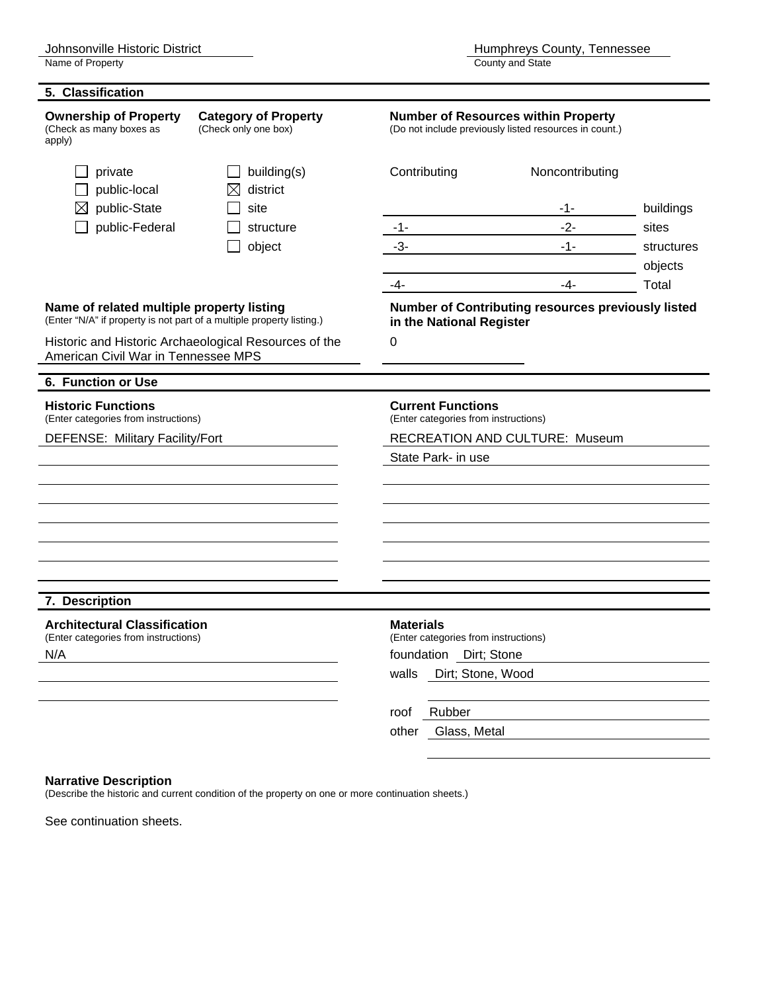| 5. Classification                                                                                                  |                                                       |                                                                                                      |                                                           |            |  |  |
|--------------------------------------------------------------------------------------------------------------------|-------------------------------------------------------|------------------------------------------------------------------------------------------------------|-----------------------------------------------------------|------------|--|--|
| <b>Ownership of Property</b><br>(Check as many boxes as<br>apply)                                                  | <b>Category of Property</b><br>(Check only one box)   | <b>Number of Resources within Property</b><br>(Do not include previously listed resources in count.) |                                                           |            |  |  |
| private<br>public-local                                                                                            | building(s)<br>district<br>IX                         | Contributing                                                                                         | Noncontributing                                           |            |  |  |
| public-State                                                                                                       | site                                                  |                                                                                                      | -1-                                                       | buildings  |  |  |
| public-Federal                                                                                                     | structure                                             | $-1-$                                                                                                | $-2-$                                                     | sites      |  |  |
|                                                                                                                    | object                                                | $-3-$                                                                                                | $-1-$                                                     | structures |  |  |
|                                                                                                                    |                                                       |                                                                                                      |                                                           | objects    |  |  |
|                                                                                                                    |                                                       | -4-                                                                                                  | $-4-$                                                     | Total      |  |  |
| Name of related multiple property listing<br>(Enter "N/A" if property is not part of a multiple property listing.) |                                                       | in the National Register                                                                             | <b>Number of Contributing resources previously listed</b> |            |  |  |
| American Civil War in Tennessee MPS                                                                                | Historic and Historic Archaeological Resources of the | 0                                                                                                    |                                                           |            |  |  |
|                                                                                                                    |                                                       |                                                                                                      |                                                           |            |  |  |
| 6. Function or Use                                                                                                 |                                                       |                                                                                                      |                                                           |            |  |  |
| <b>Historic Functions</b><br>(Enter categories from instructions)                                                  |                                                       | <b>Current Functions</b><br>(Enter categories from instructions)                                     |                                                           |            |  |  |
| DEFENSE: Military Facility/Fort                                                                                    |                                                       | <b>RECREATION AND CULTURE: Museum</b>                                                                |                                                           |            |  |  |
|                                                                                                                    |                                                       | State Park- in use                                                                                   |                                                           |            |  |  |
|                                                                                                                    |                                                       |                                                                                                      |                                                           |            |  |  |
|                                                                                                                    |                                                       |                                                                                                      |                                                           |            |  |  |
|                                                                                                                    |                                                       |                                                                                                      |                                                           |            |  |  |
|                                                                                                                    |                                                       |                                                                                                      |                                                           |            |  |  |
|                                                                                                                    |                                                       |                                                                                                      |                                                           |            |  |  |
|                                                                                                                    |                                                       |                                                                                                      |                                                           |            |  |  |
| 7. Description                                                                                                     |                                                       |                                                                                                      |                                                           |            |  |  |
| <b>Architectural Classification</b><br>(Enter categories from instructions)                                        |                                                       | <b>Materials</b><br>(Enter categories from instructions)                                             |                                                           |            |  |  |
| N/A                                                                                                                |                                                       | foundation Dirt; Stone                                                                               |                                                           |            |  |  |
|                                                                                                                    |                                                       | Dirt; Stone, Wood<br>walls                                                                           |                                                           |            |  |  |
|                                                                                                                    |                                                       | Rubber<br>roof                                                                                       |                                                           |            |  |  |
|                                                                                                                    |                                                       | Glass, Metal<br>other                                                                                |                                                           |            |  |  |
|                                                                                                                    |                                                       |                                                                                                      |                                                           |            |  |  |

#### **Narrative Description**

(Describe the historic and current condition of the property on one or more continuation sheets.)

See continuation sheets.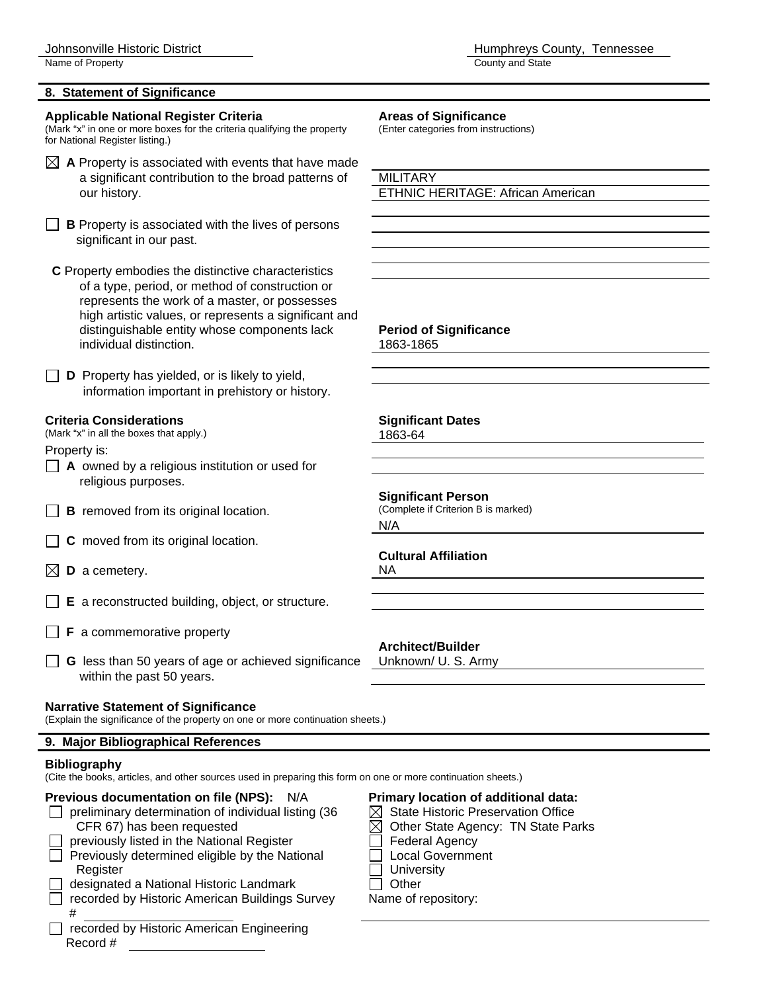#### **8. Statement of Significance**

# **Applicable National Register Criteria Areas of Significance**<br>(Mark "x" in one or more boxes for the criteria qualifying the property (Enter categories from instructions)

(Mark "x" in one or more boxes for the criteria qualifying the property for National Register listing.)

- $\boxtimes$  A Property is associated with events that have made a significant contribution to the broad patterns of MILITARY our history. ETHNIC HERITAGE: African American
- **B** Property is associated with the lives of persons significant in our past.

 **C** Property embodies the distinctive characteristics of a type, period, or method of construction or represents the work of a master, or possesses high artistic values, or represents a significant and distinguishable entity whose components lack **Period of Significance** individual distinction. 1863-1865

**D** Property has yielded, or is likely to yield, information important in prehistory or history.

#### **Criteria Considerations Significant Dates**

(Mark "x" in all the boxes that apply.) 1863-64

Property is:

- **A** owned by a religious institution or used for religious purposes.
- $\Box$  **B** removed from its original location.
- **C** moved from its original location.
- $\boxtimes$  **D** a cemetery. NA
- **E** a reconstructed building, object, or structure.
- $\Box$  **F** a commemorative property
- **G** less than 50 years of age or achieved significance Unknown/ U. S. Army within the past 50 years.

#### **Narrative Statement of Significance**

(Explain the significance of the property on one or more continuation sheets.)

#### **9. Major Bibliographical References**

#### **Bibliography**

(Cite the books, articles, and other sources used in preparing this form on one or more continuation sheets.)

#### **Previous documentation on file (NPS):** N/A **Primary location of additional data:**

- preliminary determination of individual listing (36  $\boxtimes$  State Historic Preservation Office<br>CFR 67) has been requested  $\boxtimes$  Other State Agency: TN State Pa
	- previously listed in the National Register  $\Box$  Federal Agency
- $\Box$  Previously determined eligible by the National  $\Box$  Local Government
- Register **Network Register** University
- designated a National Historic Landmark  $\Box$  Other
- recorded by Historic American Buildings Survey Name of repository: #
	- recorded by Historic American Engineering Record #

**Significant Person**<br>(Complete if Criterion B is marked)

N/A

# **Cultural Affiliation**

**Architect/Builder** 

- CFR 67) has been requested  $\boxtimes$  Other State Agency: TN State Parks
	-
	-
	-
	-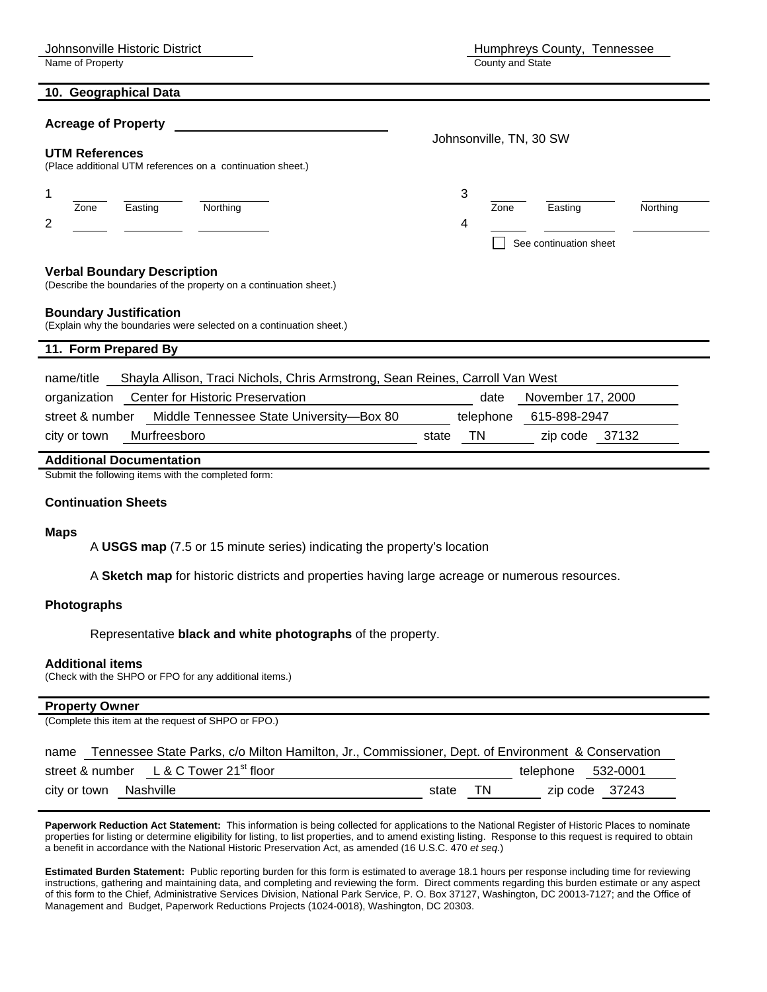Name of Property

| Humphreys County, Tennessee |  |
|-----------------------------|--|
| County and State            |  |

# **Acreage of Property**

| UTM References<br>(Place additional UTM references on a continuation sheet.)                                                                                                                                                                   | Johnsonville, TN, 30 SW |                         |                                               |          |  |  |
|------------------------------------------------------------------------------------------------------------------------------------------------------------------------------------------------------------------------------------------------|-------------------------|-------------------------|-----------------------------------------------|----------|--|--|
| Northing<br>Zone<br>Easting<br>2                                                                                                                                                                                                               |                         | 3<br>Zone<br>4          | Easting<br>See continuation sheet             | Northing |  |  |
| <b>Verbal Boundary Description</b><br>(Describe the boundaries of the property on a continuation sheet.)<br><b>Boundary Justification</b>                                                                                                      |                         |                         |                                               |          |  |  |
| (Explain why the boundaries were selected on a continuation sheet.)<br>11. Form Prepared By                                                                                                                                                    |                         |                         |                                               |          |  |  |
| Shayla Allison, Traci Nichols, Chris Armstrong, Sean Reines, Carroll Van West<br>name/title<br>Center for Historic Preservation<br>organization<br>Middle Tennessee State University-Box 80<br>street & number<br>Murfreesboro<br>city or town | state                   | date<br>telephone<br>ΤN | November 17, 2000<br>615-898-2947<br>zip code | 37132    |  |  |
| <b>Additional Documentation</b>                                                                                                                                                                                                                |                         |                         |                                               |          |  |  |

Submit the following items with the completed form:

#### **Continuation Sheets**

#### **Maps**

A **USGS map** (7.5 or 15 minute series) indicating the property's location

A **Sketch map** for historic districts and properties having large acreage or numerous resources.

#### **Photographs**

Representative **black and white photographs** of the property.

#### **Additional items**

(Check with the SHPO or FPO for any additional items.)

#### **Property Owner**

(Complete this item at the request of SHPO or FPO.)

name Tennessee State Parks, c/o Milton Hamilton, Jr., Commissioner, Dept. of Environment & Conservation

|                        | street & number L & C Tower 21 <sup>st</sup> floor |       |     | telephone      | 532-0001 |
|------------------------|----------------------------------------------------|-------|-----|----------------|----------|
| city or town Nashville |                                                    | state | TN. | zip code 37243 |          |

**Paperwork Reduction Act Statement:** This information is being collected for applications to the National Register of Historic Places to nominate properties for listing or determine eligibility for listing, to list properties, and to amend existing listing. Response to this request is required to obtain a benefit in accordance with the National Historic Preservation Act, as amended (16 U.S.C. 470 *et seq.*)

**Estimated Burden Statement:** Public reporting burden for this form is estimated to average 18.1 hours per response including time for reviewing instructions, gathering and maintaining data, and completing and reviewing the form. Direct comments regarding this burden estimate or any aspect of this form to the Chief, Administrative Services Division, National Park Service, P. O. Box 37127, Washington, DC 20013-7127; and the Office of Management and Budget, Paperwork Reductions Projects (1024-0018), Washington, DC 20303.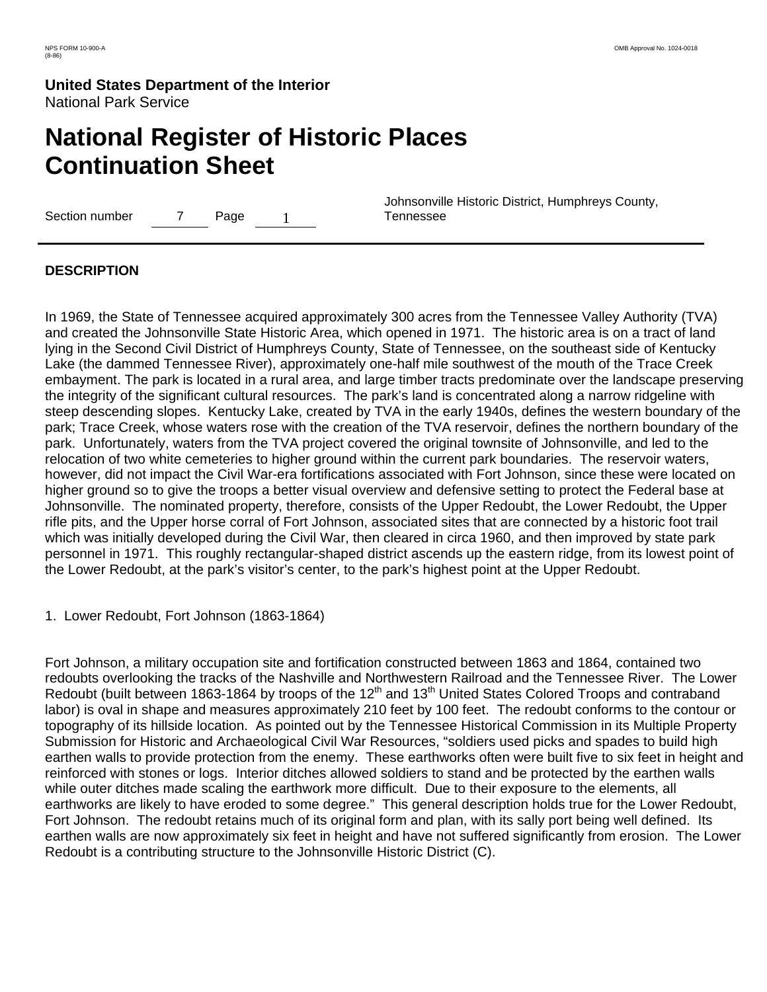# **National Register of Historic Places Continuation Sheet**

Section number 7 Page 1

 Johnsonville Historic District, Humphreys County, Tennessee

### **DESCRIPTION**

In 1969, the State of Tennessee acquired approximately 300 acres from the Tennessee Valley Authority (TVA) and created the Johnsonville State Historic Area, which opened in 1971. The historic area is on a tract of land lying in the Second Civil District of Humphreys County, State of Tennessee, on the southeast side of Kentucky Lake (the dammed Tennessee River), approximately one-half mile southwest of the mouth of the Trace Creek embayment. The park is located in a rural area, and large timber tracts predominate over the landscape preserving the integrity of the significant cultural resources. The park's land is concentrated along a narrow ridgeline with steep descending slopes. Kentucky Lake, created by TVA in the early 1940s, defines the western boundary of the park; Trace Creek, whose waters rose with the creation of the TVA reservoir, defines the northern boundary of the park. Unfortunately, waters from the TVA project covered the original townsite of Johnsonville, and led to the relocation of two white cemeteries to higher ground within the current park boundaries. The reservoir waters, however, did not impact the Civil War-era fortifications associated with Fort Johnson, since these were located on higher ground so to give the troops a better visual overview and defensive setting to protect the Federal base at Johnsonville. The nominated property, therefore, consists of the Upper Redoubt, the Lower Redoubt, the Upper rifle pits, and the Upper horse corral of Fort Johnson, associated sites that are connected by a historic foot trail which was initially developed during the Civil War, then cleared in circa 1960, and then improved by state park personnel in 1971. This roughly rectangular-shaped district ascends up the eastern ridge, from its lowest point of the Lower Redoubt, at the park's visitor's center, to the park's highest point at the Upper Redoubt.

1. Lower Redoubt, Fort Johnson (1863-1864)

Fort Johnson, a military occupation site and fortification constructed between 1863 and 1864, contained two redoubts overlooking the tracks of the Nashville and Northwestern Railroad and the Tennessee River. The Lower Redoubt (built between 1863-1864 by troops of the 12<sup>th</sup> and 13<sup>th</sup> United States Colored Troops and contraband labor) is oval in shape and measures approximately 210 feet by 100 feet. The redoubt conforms to the contour or topography of its hillside location. As pointed out by the Tennessee Historical Commission in its Multiple Property Submission for Historic and Archaeological Civil War Resources, "soldiers used picks and spades to build high earthen walls to provide protection from the enemy. These earthworks often were built five to six feet in height and reinforced with stones or logs. Interior ditches allowed soldiers to stand and be protected by the earthen walls while outer ditches made scaling the earthwork more difficult. Due to their exposure to the elements, all earthworks are likely to have eroded to some degree." This general description holds true for the Lower Redoubt, Fort Johnson. The redoubt retains much of its original form and plan, with its sally port being well defined. Its earthen walls are now approximately six feet in height and have not suffered significantly from erosion. The Lower Redoubt is a contributing structure to the Johnsonville Historic District (C).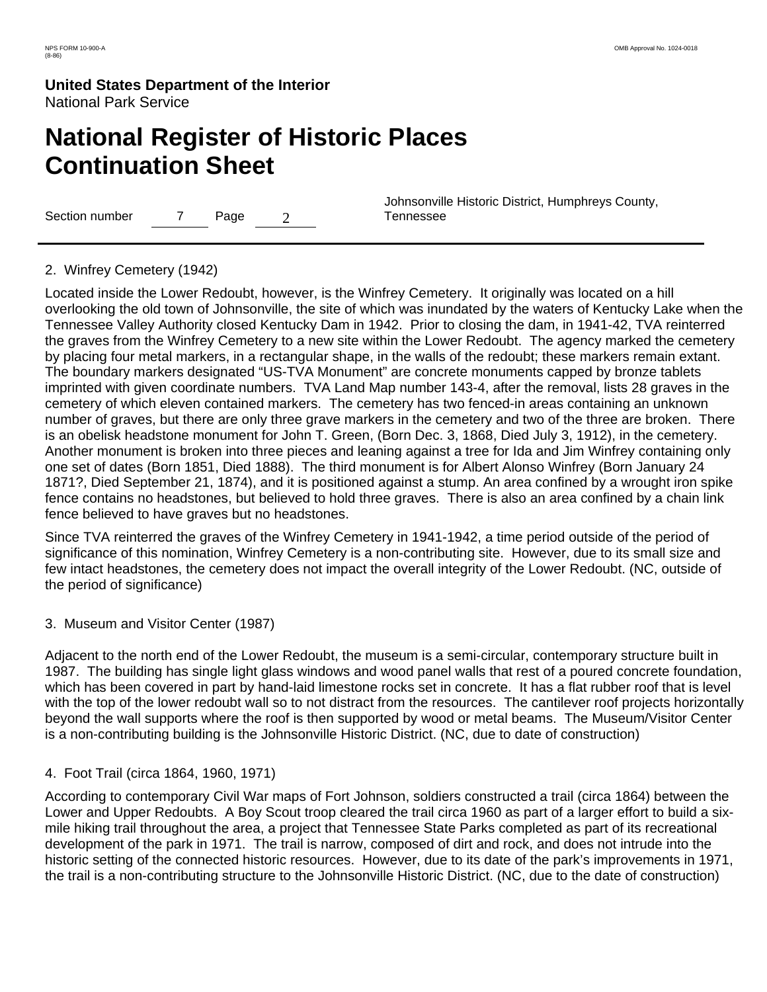# **National Register of Historic Places Continuation Sheet**

Section number  $7$  Page  $2$ 

 Johnsonville Historic District, Humphreys County, Tennessee

#### 2. Winfrey Cemetery (1942)

Located inside the Lower Redoubt, however, is the Winfrey Cemetery. It originally was located on a hill overlooking the old town of Johnsonville, the site of which was inundated by the waters of Kentucky Lake when the Tennessee Valley Authority closed Kentucky Dam in 1942. Prior to closing the dam, in 1941-42, TVA reinterred the graves from the Winfrey Cemetery to a new site within the Lower Redoubt. The agency marked the cemetery by placing four metal markers, in a rectangular shape, in the walls of the redoubt; these markers remain extant. The boundary markers designated "US-TVA Monument" are concrete monuments capped by bronze tablets imprinted with given coordinate numbers. TVA Land Map number 143-4, after the removal, lists 28 graves in the cemetery of which eleven contained markers. The cemetery has two fenced-in areas containing an unknown number of graves, but there are only three grave markers in the cemetery and two of the three are broken. There is an obelisk headstone monument for John T. Green, (Born Dec. 3, 1868, Died July 3, 1912), in the cemetery. Another monument is broken into three pieces and leaning against a tree for Ida and Jim Winfrey containing only one set of dates (Born 1851, Died 1888). The third monument is for Albert Alonso Winfrey (Born January 24 1871?, Died September 21, 1874), and it is positioned against a stump. An area confined by a wrought iron spike fence contains no headstones, but believed to hold three graves. There is also an area confined by a chain link fence believed to have graves but no headstones.

Since TVA reinterred the graves of the Winfrey Cemetery in 1941-1942, a time period outside of the period of significance of this nomination, Winfrey Cemetery is a non-contributing site. However, due to its small size and few intact headstones, the cemetery does not impact the overall integrity of the Lower Redoubt. (NC, outside of the period of significance)

3. Museum and Visitor Center (1987)

Adjacent to the north end of the Lower Redoubt, the museum is a semi-circular, contemporary structure built in 1987. The building has single light glass windows and wood panel walls that rest of a poured concrete foundation, which has been covered in part by hand-laid limestone rocks set in concrete. It has a flat rubber roof that is level with the top of the lower redoubt wall so to not distract from the resources. The cantilever roof projects horizontally beyond the wall supports where the roof is then supported by wood or metal beams. The Museum/Visitor Center is a non-contributing building is the Johnsonville Historic District. (NC, due to date of construction)

4. Foot Trail (circa 1864, 1960, 1971)

According to contemporary Civil War maps of Fort Johnson, soldiers constructed a trail (circa 1864) between the Lower and Upper Redoubts. A Boy Scout troop cleared the trail circa 1960 as part of a larger effort to build a sixmile hiking trail throughout the area, a project that Tennessee State Parks completed as part of its recreational development of the park in 1971. The trail is narrow, composed of dirt and rock, and does not intrude into the historic setting of the connected historic resources. However, due to its date of the park's improvements in 1971, the trail is a non-contributing structure to the Johnsonville Historic District. (NC, due to the date of construction)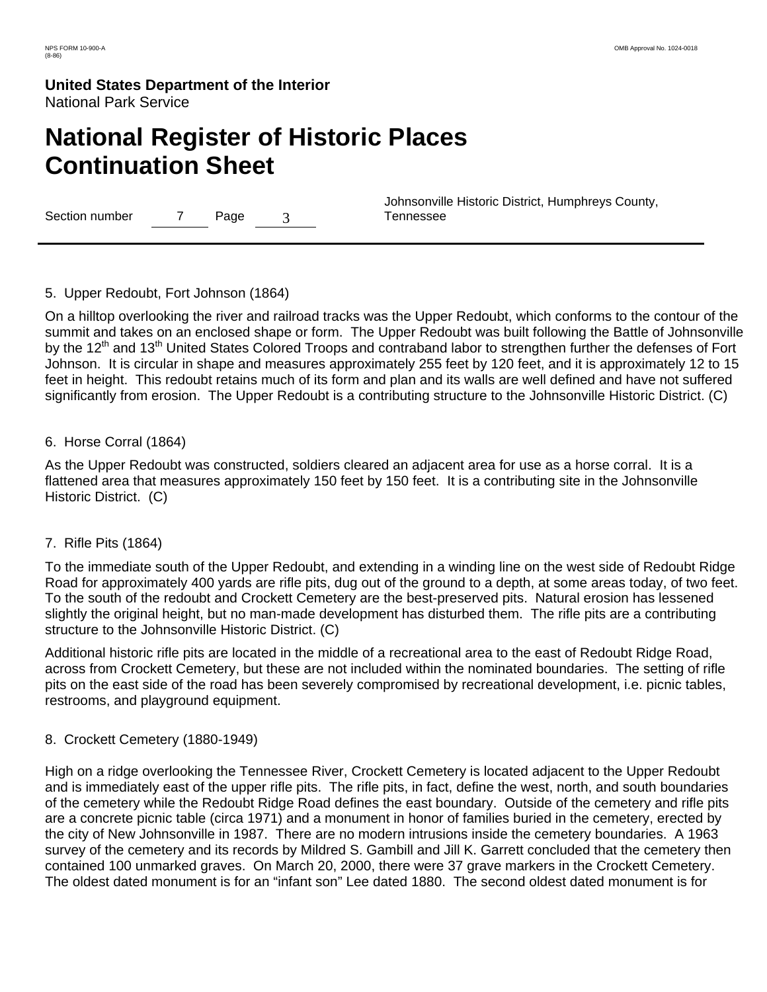# **National Register of Historic Places Continuation Sheet**

Section number 7 Page 3

 Johnsonville Historic District, Humphreys County, Tennessee

#### 5. Upper Redoubt, Fort Johnson (1864)

On a hilltop overlooking the river and railroad tracks was the Upper Redoubt, which conforms to the contour of the summit and takes on an enclosed shape or form. The Upper Redoubt was built following the Battle of Johnsonville by the 12<sup>th</sup> and 13<sup>th</sup> United States Colored Troops and contraband labor to strengthen further the defenses of Fort Johnson. It is circular in shape and measures approximately 255 feet by 120 feet, and it is approximately 12 to 15 feet in height. This redoubt retains much of its form and plan and its walls are well defined and have not suffered significantly from erosion. The Upper Redoubt is a contributing structure to the Johnsonville Historic District. (C)

#### 6. Horse Corral (1864)

As the Upper Redoubt was constructed, soldiers cleared an adjacent area for use as a horse corral. It is a flattened area that measures approximately 150 feet by 150 feet. It is a contributing site in the Johnsonville Historic District. (C)

#### 7. Rifle Pits (1864)

To the immediate south of the Upper Redoubt, and extending in a winding line on the west side of Redoubt Ridge Road for approximately 400 yards are rifle pits, dug out of the ground to a depth, at some areas today, of two feet. To the south of the redoubt and Crockett Cemetery are the best-preserved pits. Natural erosion has lessened slightly the original height, but no man-made development has disturbed them. The rifle pits are a contributing structure to the Johnsonville Historic District. (C)

Additional historic rifle pits are located in the middle of a recreational area to the east of Redoubt Ridge Road, across from Crockett Cemetery, but these are not included within the nominated boundaries. The setting of rifle pits on the east side of the road has been severely compromised by recreational development, i.e. picnic tables, restrooms, and playground equipment.

#### 8. Crockett Cemetery (1880-1949)

High on a ridge overlooking the Tennessee River, Crockett Cemetery is located adjacent to the Upper Redoubt and is immediately east of the upper rifle pits. The rifle pits, in fact, define the west, north, and south boundaries of the cemetery while the Redoubt Ridge Road defines the east boundary. Outside of the cemetery and rifle pits are a concrete picnic table (circa 1971) and a monument in honor of families buried in the cemetery, erected by the city of New Johnsonville in 1987. There are no modern intrusions inside the cemetery boundaries. A 1963 survey of the cemetery and its records by Mildred S. Gambill and Jill K. Garrett concluded that the cemetery then contained 100 unmarked graves. On March 20, 2000, there were 37 grave markers in the Crockett Cemetery. The oldest dated monument is for an "infant son" Lee dated 1880. The second oldest dated monument is for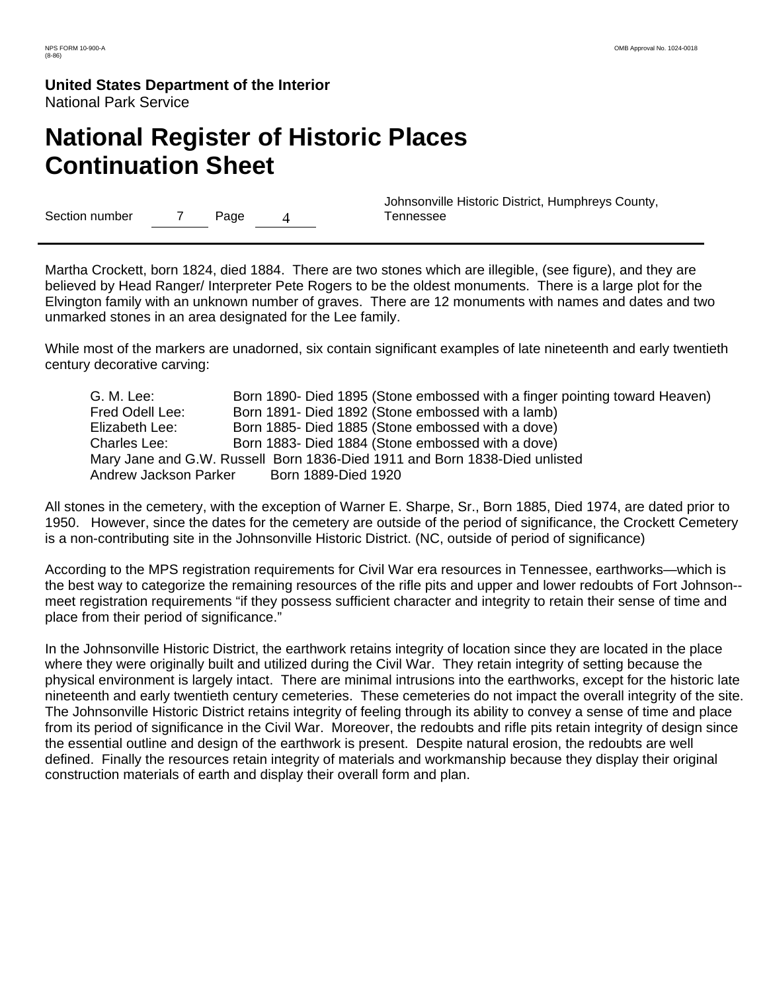# **National Register of Historic Places Continuation Sheet**

Section number 7 Page 4

 Johnsonville Historic District, Humphreys County, Tennessee

Martha Crockett, born 1824, died 1884. There are two stones which are illegible, (see figure), and they are believed by Head Ranger/ Interpreter Pete Rogers to be the oldest monuments. There is a large plot for the Elvington family with an unknown number of graves. There are 12 monuments with names and dates and two unmarked stones in an area designated for the Lee family.

While most of the markers are unadorned, six contain significant examples of late nineteenth and early twentieth century decorative carving:

 G. M. Lee: Born 1890- Died 1895 (Stone embossed with a finger pointing toward Heaven) Fred Odell Lee: Born 1891- Died 1892 (Stone embossed with a lamb) Elizabeth Lee: Born 1885- Died 1885 (Stone embossed with a dove) Charles Lee: Born 1883- Died 1884 (Stone embossed with a dove) Mary Jane and G.W. Russell Born 1836-Died 1911 and Born 1838-Died unlisted Andrew Jackson Parker Born 1889-Died 1920

All stones in the cemetery, with the exception of Warner E. Sharpe, Sr., Born 1885, Died 1974, are dated prior to 1950. However, since the dates for the cemetery are outside of the period of significance, the Crockett Cemetery is a non-contributing site in the Johnsonville Historic District. (NC, outside of period of significance)

According to the MPS registration requirements for Civil War era resources in Tennessee, earthworks—which is the best way to categorize the remaining resources of the rifle pits and upper and lower redoubts of Fort Johnson- meet registration requirements "if they possess sufficient character and integrity to retain their sense of time and place from their period of significance."

In the Johnsonville Historic District, the earthwork retains integrity of location since they are located in the place where they were originally built and utilized during the Civil War. They retain integrity of setting because the physical environment is largely intact. There are minimal intrusions into the earthworks, except for the historic late nineteenth and early twentieth century cemeteries. These cemeteries do not impact the overall integrity of the site. The Johnsonville Historic District retains integrity of feeling through its ability to convey a sense of time and place from its period of significance in the Civil War. Moreover, the redoubts and rifle pits retain integrity of design since the essential outline and design of the earthwork is present. Despite natural erosion, the redoubts are well defined. Finally the resources retain integrity of materials and workmanship because they display their original construction materials of earth and display their overall form and plan.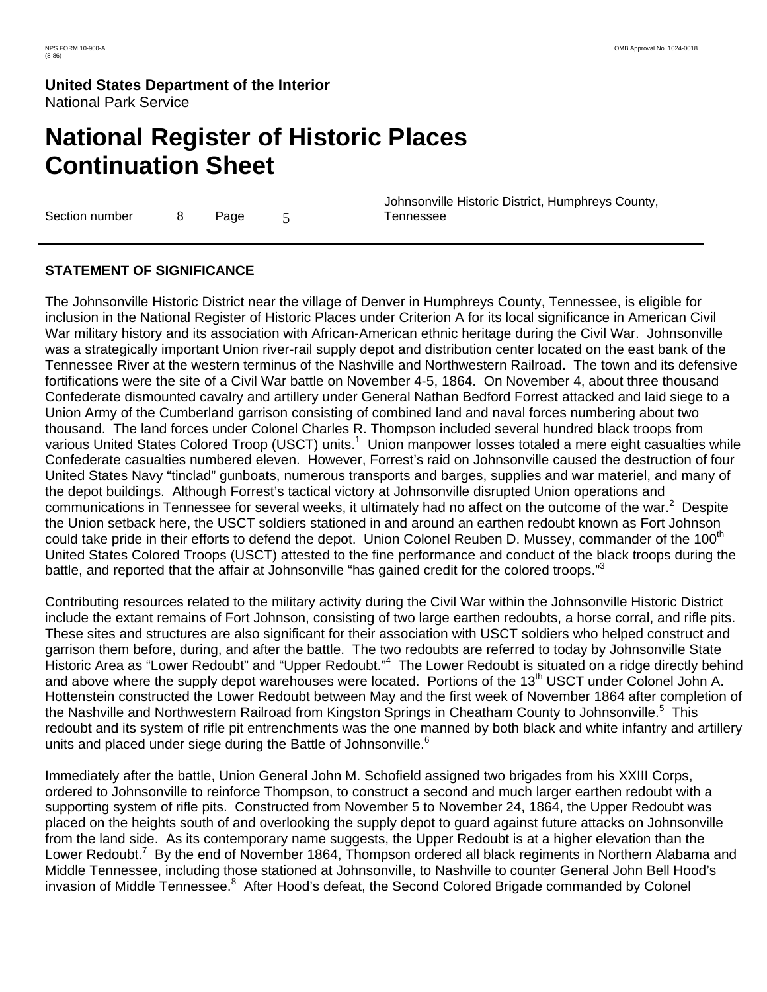# **National Register of Historic Places Continuation Sheet**

Section number 8 Page 5

 Johnsonville Historic District, Humphreys County, Tennessee

### **STATEMENT OF SIGNIFICANCE**

The Johnsonville Historic District near the village of Denver in Humphreys County, Tennessee, is eligible for inclusion in the National Register of Historic Places under Criterion A for its local significance in American Civil War military history and its association with African-American ethnic heritage during the Civil War. Johnsonville was a strategically important Union river-rail supply depot and distribution center located on the east bank of the Tennessee River at the western terminus of the Nashville and Northwestern Railroad**.** The town and its defensive fortifications were the site of a Civil War battle on November 4-5, 1864. On November 4, about three thousand Confederate dismounted cavalry and artillery under General Nathan Bedford Forrest attacked and laid siege to a Union Army of the Cumberland garrison consisting of combined land and naval forces numbering about two thousand. The land forces under Colonel Charles R. Thompson included several hundred black troops from various United States Colored Troop (USCT) units.<sup>1</sup> Union manpower losses totaled a mere eight casualties while Confederate casualties numbered eleven. However, Forrest's raid on Johnsonville caused the destruction of four United States Navy "tinclad" gunboats, numerous transports and barges, supplies and war materiel, and many of the depot buildings. Although Forrest's tactical victory at Johnsonville disrupted Union operations and communications in Tennessee for several weeks, it ultimately had no affect on the outcome of the war.<sup>2</sup> Despite the Union setback here, the USCT soldiers stationed in and around an earthen redoubt known as Fort Johnson could take pride in their efforts to defend the depot. Union Colonel Reuben D. Mussey, commander of the 100<sup>th</sup> United States Colored Troops (USCT) attested to the fine performance and conduct of the black troops during the battle, and reported that the affair at Johnsonville "has gained credit for the colored troops."<sup>3</sup>

Contributing resources related to the military activity during the Civil War within the Johnsonville Historic District include the extant remains of Fort Johnson, consisting of two large earthen redoubts, a horse corral, and rifle pits. These sites and structures are also significant for their association with USCT soldiers who helped construct and garrison them before, during, and after the battle. The two redoubts are referred to today by Johnsonville State Historic Area as "Lower Redoubt" and "Upper Redoubt."<sup>4</sup> The Lower Redoubt is situated on a ridge directly behind and above where the supply depot warehouses were located. Portions of the 13<sup>th</sup> USCT under Colonel John A. Hottenstein constructed the Lower Redoubt between May and the first week of November 1864 after completion of the Nashville and Northwestern Railroad from Kingston Springs in Cheatham County to Johnsonville.<sup>5</sup> This redoubt and its system of rifle pit entrenchments was the one manned by both black and white infantry and artillery units and placed under siege during the Battle of Johnsonville. $6$ 

Immediately after the battle, Union General John M. Schofield assigned two brigades from his XXIII Corps, ordered to Johnsonville to reinforce Thompson, to construct a second and much larger earthen redoubt with a supporting system of rifle pits. Constructed from November 5 to November 24, 1864, the Upper Redoubt was placed on the heights south of and overlooking the supply depot to guard against future attacks on Johnsonville from the land side. As its contemporary name suggests, the Upper Redoubt is at a higher elevation than the Lower Redoubt.<sup>7</sup> By the end of November 1864, Thompson ordered all black regiments in Northern Alabama and Middle Tennessee, including those stationed at Johnsonville, to Nashville to counter General John Bell Hood's invasion of Middle Tennessee.<sup>8</sup> After Hood's defeat, the Second Colored Brigade commanded by Colonel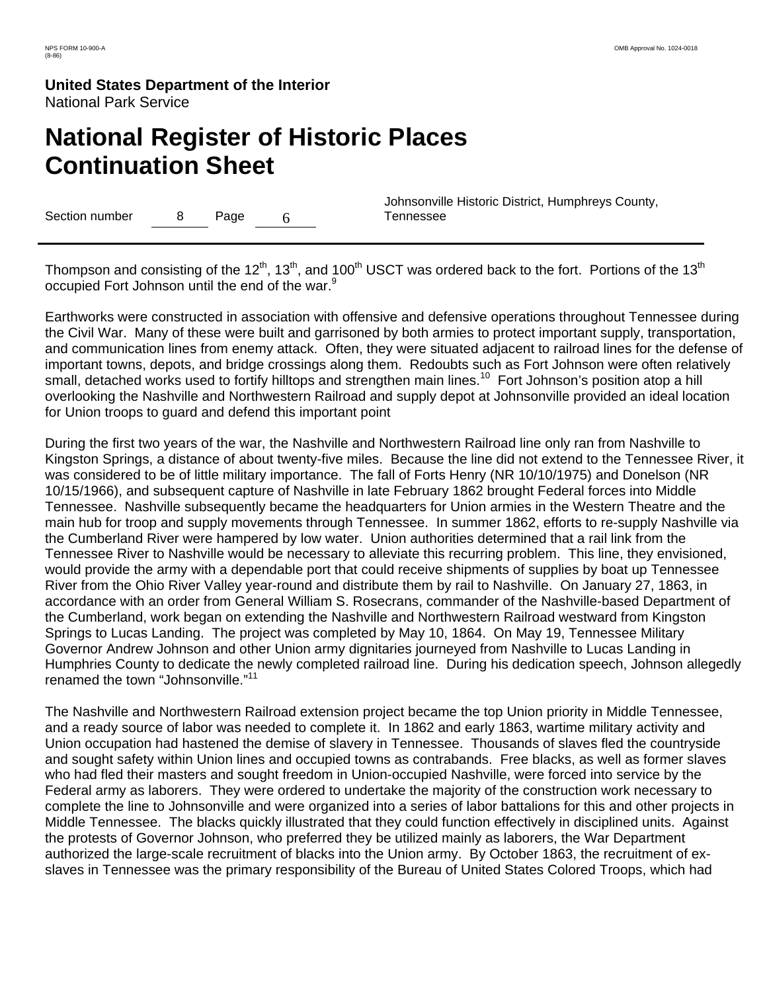# **National Register of Historic Places Continuation Sheet**

Section number 8 Page 6

 Johnsonville Historic District, Humphreys County, Tennessee

Thompson and consisting of the 12<sup>th</sup>, 13<sup>th</sup>, and 100<sup>th</sup> USCT was ordered back to the fort. Portions of the 13<sup>th</sup> occupied Fort Johnson until the end of the war.<sup>9</sup>

Earthworks were constructed in association with offensive and defensive operations throughout Tennessee during the Civil War. Many of these were built and garrisoned by both armies to protect important supply, transportation, and communication lines from enemy attack. Often, they were situated adjacent to railroad lines for the defense of important towns, depots, and bridge crossings along them. Redoubts such as Fort Johnson were often relatively small, detached works used to fortify hilltops and strengthen main lines.<sup>10</sup> Fort Johnson's position atop a hill overlooking the Nashville and Northwestern Railroad and supply depot at Johnsonville provided an ideal location for Union troops to guard and defend this important point

During the first two years of the war, the Nashville and Northwestern Railroad line only ran from Nashville to Kingston Springs, a distance of about twenty-five miles. Because the line did not extend to the Tennessee River, it was considered to be of little military importance. The fall of Forts Henry (NR 10/10/1975) and Donelson (NR 10/15/1966), and subsequent capture of Nashville in late February 1862 brought Federal forces into Middle Tennessee. Nashville subsequently became the headquarters for Union armies in the Western Theatre and the main hub for troop and supply movements through Tennessee. In summer 1862, efforts to re-supply Nashville via the Cumberland River were hampered by low water. Union authorities determined that a rail link from the Tennessee River to Nashville would be necessary to alleviate this recurring problem. This line, they envisioned, would provide the army with a dependable port that could receive shipments of supplies by boat up Tennessee River from the Ohio River Valley year-round and distribute them by rail to Nashville. On January 27, 1863, in accordance with an order from General William S. Rosecrans, commander of the Nashville-based Department of the Cumberland, work began on extending the Nashville and Northwestern Railroad westward from Kingston Springs to Lucas Landing. The project was completed by May 10, 1864. On May 19, Tennessee Military Governor Andrew Johnson and other Union army dignitaries journeyed from Nashville to Lucas Landing in Humphries County to dedicate the newly completed railroad line. During his dedication speech, Johnson allegedly renamed the town "Johnsonville."<sup>11</sup>

The Nashville and Northwestern Railroad extension project became the top Union priority in Middle Tennessee, and a ready source of labor was needed to complete it. In 1862 and early 1863, wartime military activity and Union occupation had hastened the demise of slavery in Tennessee. Thousands of slaves fled the countryside and sought safety within Union lines and occupied towns as contrabands. Free blacks, as well as former slaves who had fled their masters and sought freedom in Union-occupied Nashville, were forced into service by the Federal army as laborers. They were ordered to undertake the majority of the construction work necessary to complete the line to Johnsonville and were organized into a series of labor battalions for this and other projects in Middle Tennessee. The blacks quickly illustrated that they could function effectively in disciplined units. Against the protests of Governor Johnson, who preferred they be utilized mainly as laborers, the War Department authorized the large-scale recruitment of blacks into the Union army. By October 1863, the recruitment of exslaves in Tennessee was the primary responsibility of the Bureau of United States Colored Troops, which had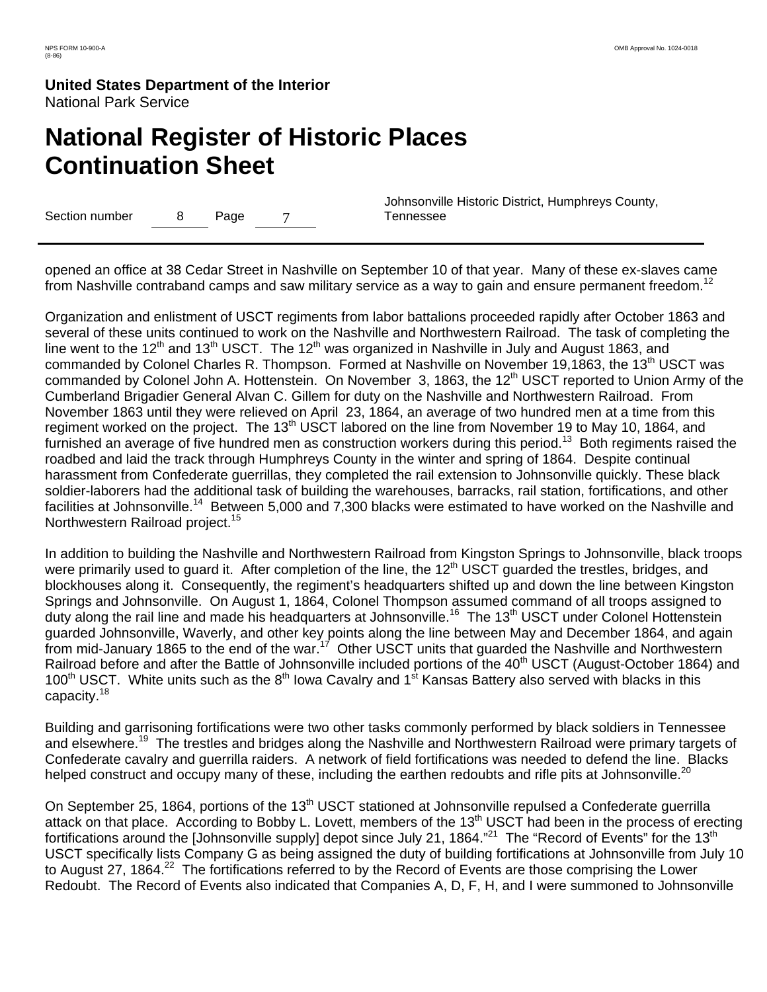# **National Register of Historic Places Continuation Sheet**

Section number 8 Page 7

 Johnsonville Historic District, Humphreys County, Tennessee

opened an office at 38 Cedar Street in Nashville on September 10 of that year. Many of these ex-slaves came from Nashville contraband camps and saw military service as a way to gain and ensure permanent freedom.<sup>12</sup>

Organization and enlistment of USCT regiments from labor battalions proceeded rapidly after October 1863 and several of these units continued to work on the Nashville and Northwestern Railroad. The task of completing the line went to the 12<sup>th</sup> and 13<sup>th</sup> USCT. The 12<sup>th</sup> was organized in Nashville in July and August 1863, and commanded by Colonel Charles R. Thompson. Formed at Nashville on November 19,1863, the 13<sup>th</sup> USCT was commanded by Colonel John A. Hottenstein. On November 3, 1863, the 12<sup>th</sup> USCT reported to Union Army of the Cumberland Brigadier General Alvan C. Gillem for duty on the Nashville and Northwestern Railroad. From November 1863 until they were relieved on April 23, 1864, an average of two hundred men at a time from this regiment worked on the project. The 13<sup>th</sup> USCT labored on the line from November 19 to May 10, 1864, and furnished an average of five hundred men as construction workers during this period.<sup>13</sup> Both regiments raised the roadbed and laid the track through Humphreys County in the winter and spring of 1864. Despite continual harassment from Confederate guerrillas, they completed the rail extension to Johnsonville quickly. These black soldier-laborers had the additional task of building the warehouses, barracks, rail station, fortifications, and other facilities at Johnsonville.<sup>14</sup> Between 5,000 and 7,300 blacks were estimated to have worked on the Nashville and Northwestern Railroad project.<sup>15</sup>

In addition to building the Nashville and Northwestern Railroad from Kingston Springs to Johnsonville, black troops were primarily used to guard it. After completion of the line, the 12<sup>th</sup> USCT guarded the trestles, bridges, and blockhouses along it. Consequently, the regiment's headquarters shifted up and down the line between Kingston Springs and Johnsonville. On August 1, 1864, Colonel Thompson assumed command of all troops assigned to duty along the rail line and made his headquarters at Johnsonville.<sup>16</sup> The 13<sup>th</sup> USCT under Colonel Hottenstein guarded Johnsonville, Waverly, and other key points along the line between May and December 1864, and again from mid-January 1865 to the end of the war.<sup>17</sup> Other USCT units that guarded the Nashville and Northwestern Railroad before and after the Battle of Johnsonville included portions of the 40<sup>th</sup> USCT (August-October 1864) and 100<sup>th</sup> USCT. White units such as the 8<sup>th</sup> Iowa Cavalry and 1<sup>st</sup> Kansas Battery also served with blacks in this capacity.<sup>18</sup>

Building and garrisoning fortifications were two other tasks commonly performed by black soldiers in Tennessee and elsewhere.<sup>19</sup> The trestles and bridges along the Nashville and Northwestern Railroad were primary targets of Confederate cavalry and guerrilla raiders. A network of field fortifications was needed to defend the line. Blacks helped construct and occupy many of these, including the earthen redoubts and rifle pits at Johnsonville.<sup>20</sup>

On September 25, 1864, portions of the 13<sup>th</sup> USCT stationed at Johnsonville repulsed a Confederate guerrilla attack on that place. According to Bobby L. Lovett, members of the 13<sup>th</sup> USCT had been in the process of erecting fortifications around the [Johnsonville supply] depot since July 21, 1864."<sup>21</sup> The "Record of Events" for the 13<sup>th</sup> USCT specifically lists Company G as being assigned the duty of building fortifications at Johnsonville from July 10 to August 27, 1864.<sup>22</sup> The fortifications referred to by the Record of Events are those comprising the Lower Redoubt. The Record of Events also indicated that Companies A, D, F, H, and I were summoned to Johnsonville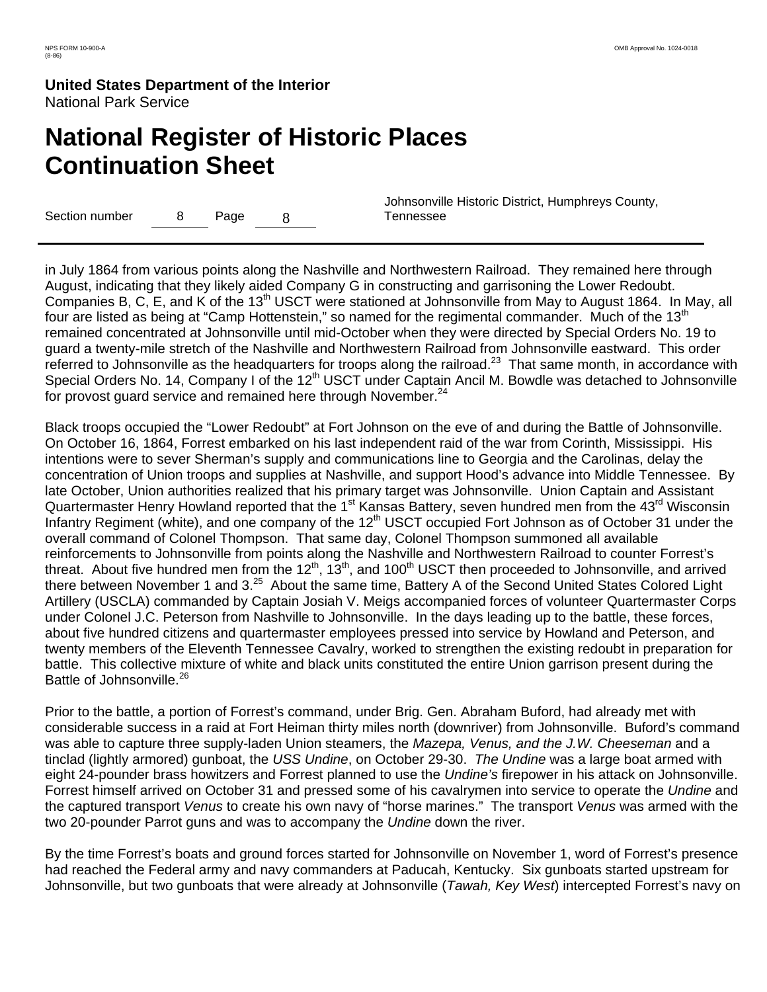# **National Register of Historic Places Continuation Sheet**

Section number 8 Page 8

 Johnsonville Historic District, Humphreys County, Tennessee

in July 1864 from various points along the Nashville and Northwestern Railroad. They remained here through August, indicating that they likely aided Company G in constructing and garrisoning the Lower Redoubt. Companies B, C, E, and K of the 13<sup>th</sup> USCT were stationed at Johnsonville from May to August 1864. In May, all four are listed as being at "Camp Hottenstein," so named for the regimental commander. Much of the 13<sup>th</sup> remained concentrated at Johnsonville until mid-October when they were directed by Special Orders No. 19 to guard a twenty-mile stretch of the Nashville and Northwestern Railroad from Johnsonville eastward. This order referred to Johnsonville as the headquarters for troops along the railroad.<sup>23</sup> That same month, in accordance with Special Orders No. 14, Company I of the 12<sup>th</sup> USCT under Captain Ancil M. Bowdle was detached to Johnsonville for provost guard service and remained here through November.<sup>24</sup>

Black troops occupied the "Lower Redoubt" at Fort Johnson on the eve of and during the Battle of Johnsonville. On October 16, 1864, Forrest embarked on his last independent raid of the war from Corinth, Mississippi. His intentions were to sever Sherman's supply and communications line to Georgia and the Carolinas, delay the concentration of Union troops and supplies at Nashville, and support Hood's advance into Middle Tennessee. By late October, Union authorities realized that his primary target was Johnsonville. Union Captain and Assistant Quartermaster Henry Howland reported that the 1<sup>st</sup> Kansas Battery, seven hundred men from the 43<sup>rd</sup> Wisconsin Infantry Regiment (white), and one company of the 12<sup>th</sup> USCT occupied Fort Johnson as of October 31 under the overall command of Colonel Thompson. That same day, Colonel Thompson summoned all available reinforcements to Johnsonville from points along the Nashville and Northwestern Railroad to counter Forrest's threat. About five hundred men from the  $12<sup>th</sup>$ ,  $13<sup>th</sup>$ , and  $100<sup>th</sup>$  USCT then proceeded to Johnsonville, and arrived there between November 1 and 3.<sup>25</sup> About the same time, Battery A of the Second United States Colored Light Artillery (USCLA) commanded by Captain Josiah V. Meigs accompanied forces of volunteer Quartermaster Corps under Colonel J.C. Peterson from Nashville to Johnsonville. In the days leading up to the battle, these forces, about five hundred citizens and quartermaster employees pressed into service by Howland and Peterson, and twenty members of the Eleventh Tennessee Cavalry, worked to strengthen the existing redoubt in preparation for battle. This collective mixture of white and black units constituted the entire Union garrison present during the Battle of Johnsonville.<sup>26</sup>

Prior to the battle, a portion of Forrest's command, under Brig. Gen. Abraham Buford, had already met with considerable success in a raid at Fort Heiman thirty miles north (downriver) from Johnsonville. Buford's command was able to capture three supply-laden Union steamers, the *Mazepa, Venus, and the J.W. Cheeseman* and a tinclad (lightly armored) gunboat, the *USS Undine*, on October 29-30. *The Undine* was a large boat armed with eight 24-pounder brass howitzers and Forrest planned to use the *Undine's* firepower in his attack on Johnsonville. Forrest himself arrived on October 31 and pressed some of his cavalrymen into service to operate the *Undine* and the captured transport *Venus* to create his own navy of "horse marines." The transport *Venus* was armed with the two 20-pounder Parrot guns and was to accompany the *Undine* down the river.

By the time Forrest's boats and ground forces started for Johnsonville on November 1, word of Forrest's presence had reached the Federal army and navy commanders at Paducah, Kentucky. Six gunboats started upstream for Johnsonville, but two gunboats that were already at Johnsonville (*Tawah, Key West*) intercepted Forrest's navy on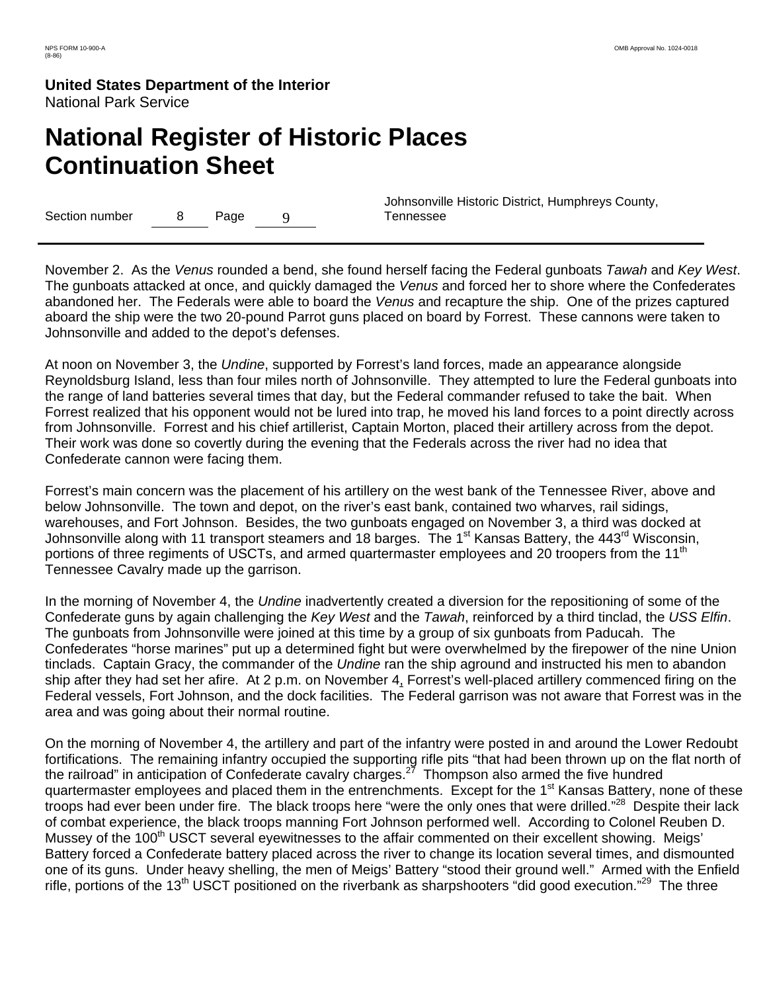# **National Register of Historic Places Continuation Sheet**

Section number 8 Page 9

 Johnsonville Historic District, Humphreys County, Tennessee

November 2. As the *Venus* rounded a bend, she found herself facing the Federal gunboats *Tawah* and *Key West*. The gunboats attacked at once, and quickly damaged the *Venus* and forced her to shore where the Confederates abandoned her. The Federals were able to board the *Venus* and recapture the ship. One of the prizes captured aboard the ship were the two 20-pound Parrot guns placed on board by Forrest. These cannons were taken to Johnsonville and added to the depot's defenses.

At noon on November 3, the *Undine*, supported by Forrest's land forces, made an appearance alongside Reynoldsburg Island, less than four miles north of Johnsonville. They attempted to lure the Federal gunboats into the range of land batteries several times that day, but the Federal commander refused to take the bait. When Forrest realized that his opponent would not be lured into trap, he moved his land forces to a point directly across from Johnsonville. Forrest and his chief artillerist, Captain Morton, placed their artillery across from the depot. Their work was done so covertly during the evening that the Federals across the river had no idea that Confederate cannon were facing them.

Forrest's main concern was the placement of his artillery on the west bank of the Tennessee River, above and below Johnsonville. The town and depot, on the river's east bank, contained two wharves, rail sidings, warehouses, and Fort Johnson. Besides, the two gunboats engaged on November 3, a third was docked at Johnsonville along with 11 transport steamers and 18 barges. The 1<sup>st</sup> Kansas Battery, the 443<sup>rd</sup> Wisconsin, portions of three regiments of USCTs, and armed quartermaster employees and 20 troopers from the 11<sup>th</sup> Tennessee Cavalry made up the garrison.

In the morning of November 4, the *Undine* inadvertently created a diversion for the repositioning of some of the Confederate guns by again challenging the *Key West* and the *Tawah*, reinforced by a third tinclad, the *USS Elfin*. The gunboats from Johnsonville were joined at this time by a group of six gunboats from Paducah. The Confederates "horse marines" put up a determined fight but were overwhelmed by the firepower of the nine Union tinclads. Captain Gracy, the commander of the *Undine* ran the ship aground and instructed his men to abandon ship after they had set her afire. At 2 p.m. on November 4, Forrest's well-placed artillery commenced firing on the Federal vessels, Fort Johnson, and the dock facilities. The Federal garrison was not aware that Forrest was in the area and was going about their normal routine.

On the morning of November 4, the artillery and part of the infantry were posted in and around the Lower Redoubt fortifications. The remaining infantry occupied the supporting rifle pits "that had been thrown up on the flat north of the railroad" in anticipation of Confederate cavalry charges.<sup>27</sup> Thompson also armed the five hundred quartermaster employees and placed them in the entrenchments. Except for the 1<sup>st</sup> Kansas Battery, none of these troops had ever been under fire. The black troops here "were the only ones that were drilled."<sup>28</sup> Despite their lack of combat experience, the black troops manning Fort Johnson performed well. According to Colonel Reuben D. Mussey of the 100<sup>th</sup> USCT several eyewitnesses to the affair commented on their excellent showing. Meigs' Battery forced a Confederate battery placed across the river to change its location several times, and dismounted one of its guns. Under heavy shelling, the men of Meigs' Battery "stood their ground well." Armed with the Enfield rifle, portions of the 13<sup>th</sup> USCT positioned on the riverbank as sharpshooters "did good execution."<sup>29</sup> The three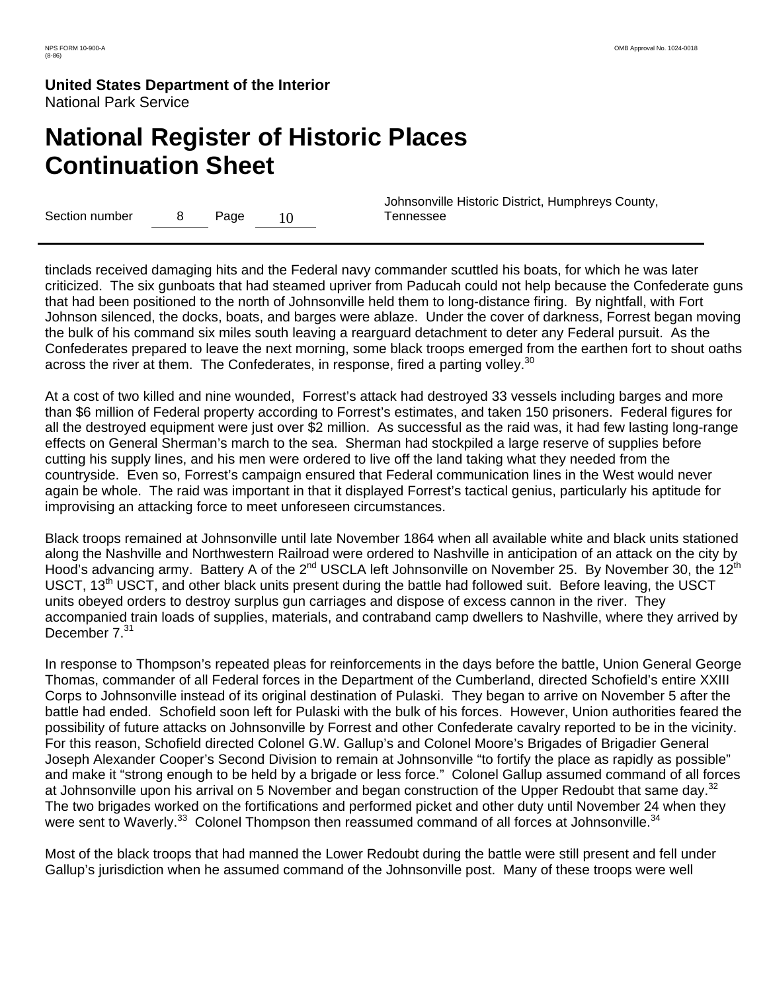# **National Register of Historic Places Continuation Sheet**

Section number 8 Page 10

 Johnsonville Historic District, Humphreys County, Tennessee

tinclads received damaging hits and the Federal navy commander scuttled his boats, for which he was later criticized. The six gunboats that had steamed upriver from Paducah could not help because the Confederate guns that had been positioned to the north of Johnsonville held them to long-distance firing. By nightfall, with Fort Johnson silenced, the docks, boats, and barges were ablaze. Under the cover of darkness, Forrest began moving the bulk of his command six miles south leaving a rearguard detachment to deter any Federal pursuit. As the Confederates prepared to leave the next morning, some black troops emerged from the earthen fort to shout oaths across the river at them. The Confederates, in response, fired a parting volley.<sup>30</sup>

At a cost of two killed and nine wounded, Forrest's attack had destroyed 33 vessels including barges and more than \$6 million of Federal property according to Forrest's estimates, and taken 150 prisoners. Federal figures for all the destroyed equipment were just over \$2 million. As successful as the raid was, it had few lasting long-range effects on General Sherman's march to the sea. Sherman had stockpiled a large reserve of supplies before cutting his supply lines, and his men were ordered to live off the land taking what they needed from the countryside. Even so, Forrest's campaign ensured that Federal communication lines in the West would never again be whole. The raid was important in that it displayed Forrest's tactical genius, particularly his aptitude for improvising an attacking force to meet unforeseen circumstances.

Black troops remained at Johnsonville until late November 1864 when all available white and black units stationed along the Nashville and Northwestern Railroad were ordered to Nashville in anticipation of an attack on the city by Hood's advancing army. Battery A of the 2<sup>nd</sup> USCLA left Johnsonville on November 25. By November 30, the 12<sup>th</sup> USCT, 13<sup>th</sup> USCT, and other black units present during the battle had followed suit. Before leaving, the USCT units obeyed orders to destroy surplus gun carriages and dispose of excess cannon in the river. They accompanied train loads of supplies, materials, and contraband camp dwellers to Nashville, where they arrived by December  $7^{31}$ 

In response to Thompson's repeated pleas for reinforcements in the days before the battle, Union General George Thomas, commander of all Federal forces in the Department of the Cumberland, directed Schofield's entire XXIII Corps to Johnsonville instead of its original destination of Pulaski. They began to arrive on November 5 after the battle had ended. Schofield soon left for Pulaski with the bulk of his forces. However, Union authorities feared the possibility of future attacks on Johnsonville by Forrest and other Confederate cavalry reported to be in the vicinity. For this reason, Schofield directed Colonel G.W. Gallup's and Colonel Moore's Brigades of Brigadier General Joseph Alexander Cooper's Second Division to remain at Johnsonville "to fortify the place as rapidly as possible" and make it "strong enough to be held by a brigade or less force." Colonel Gallup assumed command of all forces at Johnsonville upon his arrival on 5 November and began construction of the Upper Redoubt that same day.<sup>32</sup> The two brigades worked on the fortifications and performed picket and other duty until November 24 when they were sent to Waverly.<sup>33</sup> Colonel Thompson then reassumed command of all forces at Johnsonville.<sup>34</sup>

Most of the black troops that had manned the Lower Redoubt during the battle were still present and fell under Gallup's jurisdiction when he assumed command of the Johnsonville post. Many of these troops were well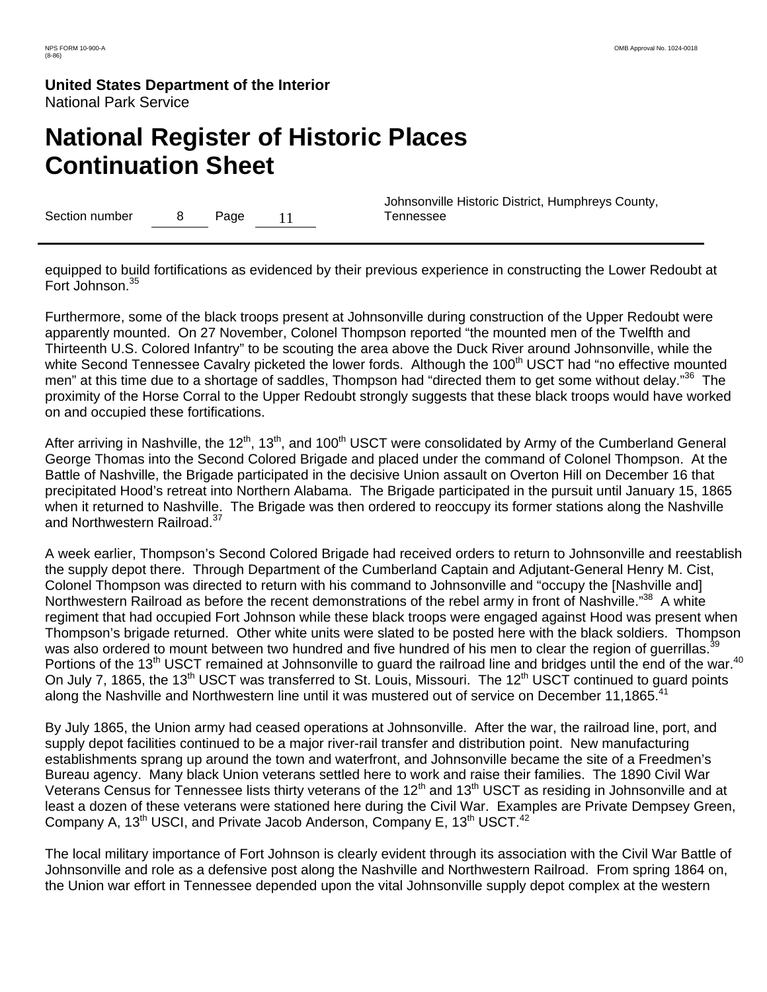# **National Register of Historic Places Continuation Sheet**

Section number 8 Page 11

 Johnsonville Historic District, Humphreys County, Tennessee

equipped to build fortifications as evidenced by their previous experience in constructing the Lower Redoubt at Fort Johnson.<sup>35</sup>

Furthermore, some of the black troops present at Johnsonville during construction of the Upper Redoubt were apparently mounted. On 27 November, Colonel Thompson reported "the mounted men of the Twelfth and Thirteenth U.S. Colored Infantry" to be scouting the area above the Duck River around Johnsonville, while the white Second Tennessee Cavalry picketed the lower fords. Although the 100<sup>th</sup> USCT had "no effective mounted men" at this time due to a shortage of saddles, Thompson had "directed them to get some without delay."<sup>36</sup> The proximity of the Horse Corral to the Upper Redoubt strongly suggests that these black troops would have worked on and occupied these fortifications.

After arriving in Nashville, the 12<sup>th</sup>, 13<sup>th</sup>, and 100<sup>th</sup> USCT were consolidated by Army of the Cumberland General George Thomas into the Second Colored Brigade and placed under the command of Colonel Thompson. At the Battle of Nashville, the Brigade participated in the decisive Union assault on Overton Hill on December 16 that precipitated Hood's retreat into Northern Alabama. The Brigade participated in the pursuit until January 15, 1865 when it returned to Nashville. The Brigade was then ordered to reoccupy its former stations along the Nashville and Northwestern Railroad.<sup>37</sup>

A week earlier, Thompson's Second Colored Brigade had received orders to return to Johnsonville and reestablish the supply depot there. Through Department of the Cumberland Captain and Adjutant-General Henry M. Cist, Colonel Thompson was directed to return with his command to Johnsonville and "occupy the [Nashville and] Northwestern Railroad as before the recent demonstrations of the rebel army in front of Nashville."<sup>38</sup> A white regiment that had occupied Fort Johnson while these black troops were engaged against Hood was present when Thompson's brigade returned. Other white units were slated to be posted here with the black soldiers. Thompson was also ordered to mount between two hundred and five hundred of his men to clear the region of querrillas.<sup>3</sup> Portions of the 13<sup>th</sup> USCT remained at Johnsonville to quard the railroad line and bridges until the end of the war.<sup>40</sup> On July 7, 1865, the 13<sup>th</sup> USCT was transferred to St. Louis, Missouri. The 12<sup>th</sup> USCT continued to guard points along the Nashville and Northwestern line until it was mustered out of service on December 11,1865.<sup>41</sup>

By July 1865, the Union army had ceased operations at Johnsonville. After the war, the railroad line, port, and supply depot facilities continued to be a major river-rail transfer and distribution point. New manufacturing establishments sprang up around the town and waterfront, and Johnsonville became the site of a Freedmen's Bureau agency. Many black Union veterans settled here to work and raise their families. The 1890 Civil War Veterans Census for Tennessee lists thirty veterans of the  $12<sup>th</sup>$  and  $13<sup>th</sup>$  USCT as residing in Johnsonville and at least a dozen of these veterans were stationed here during the Civil War. Examples are Private Dempsey Green, Company A, 13<sup>th</sup> USCI, and Private Jacob Anderson, Company E, 13<sup>th</sup> USCT.<sup>42</sup>

The local military importance of Fort Johnson is clearly evident through its association with the Civil War Battle of Johnsonville and role as a defensive post along the Nashville and Northwestern Railroad. From spring 1864 on, the Union war effort in Tennessee depended upon the vital Johnsonville supply depot complex at the western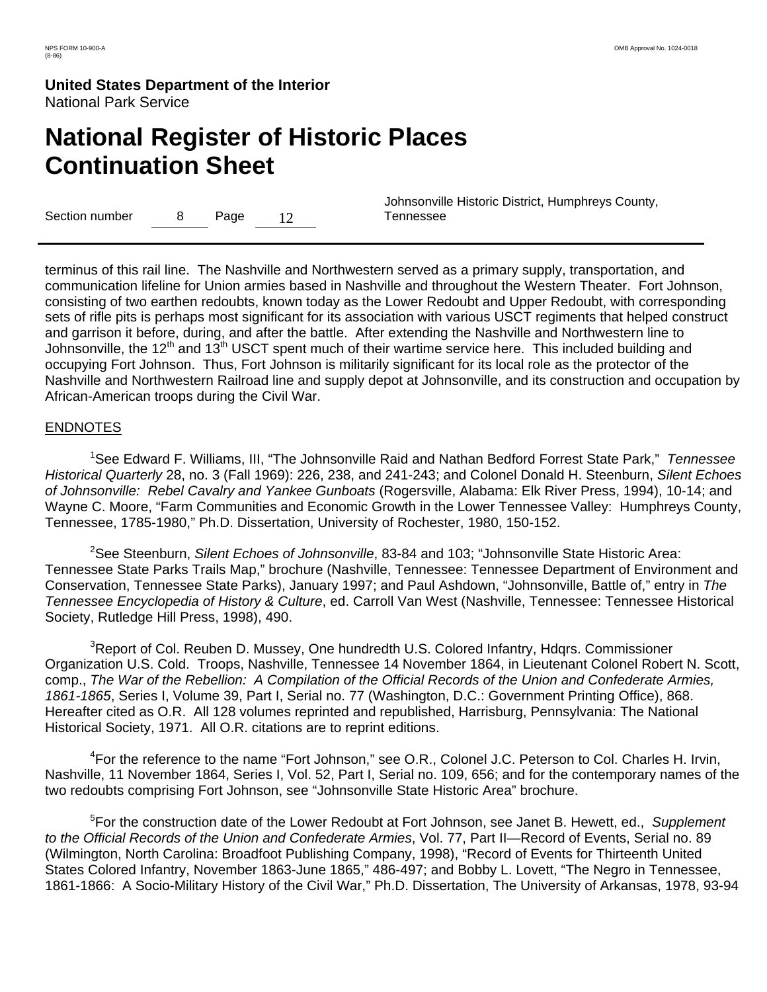# **National Register of Historic Places Continuation Sheet**

Section number  $\qquad 8$  Page 12

 Johnsonville Historic District, Humphreys County, Tennessee

terminus of this rail line. The Nashville and Northwestern served as a primary supply, transportation, and communication lifeline for Union armies based in Nashville and throughout the Western Theater. Fort Johnson, consisting of two earthen redoubts, known today as the Lower Redoubt and Upper Redoubt, with corresponding sets of rifle pits is perhaps most significant for its association with various USCT regiments that helped construct and garrison it before, during, and after the battle. After extending the Nashville and Northwestern line to Johnsonville, the 12<sup>th</sup> and 13<sup>th</sup> USCT spent much of their wartime service here. This included building and occupying Fort Johnson. Thus, Fort Johnson is militarily significant for its local role as the protector of the Nashville and Northwestern Railroad line and supply depot at Johnsonville, and its construction and occupation by African-American troops during the Civil War.

#### **ENDNOTES**

1 See Edward F. Williams, III, "The Johnsonville Raid and Nathan Bedford Forrest State Park," *Tennessee Historical Quarterly* 28, no. 3 (Fall 1969): 226, 238, and 241-243; and Colonel Donald H. Steenburn, *Silent Echoes of Johnsonville: Rebel Cavalry and Yankee Gunboats* (Rogersville, Alabama: Elk River Press, 1994), 10-14; and Wayne C. Moore, "Farm Communities and Economic Growth in the Lower Tennessee Valley: Humphreys County, Tennessee, 1785-1980," Ph.D. Dissertation, University of Rochester, 1980, 150-152.

2 See Steenburn, *Silent Echoes of Johnsonville*, 83-84 and 103; "Johnsonville State Historic Area: Tennessee State Parks Trails Map," brochure (Nashville, Tennessee: Tennessee Department of Environment and Conservation, Tennessee State Parks), January 1997; and Paul Ashdown, "Johnsonville, Battle of," entry in *The Tennessee Encyclopedia of History & Culture*, ed. Carroll Van West (Nashville, Tennessee: Tennessee Historical Society, Rutledge Hill Press, 1998), 490.

<sup>3</sup>Report of Col. Reuben D. Mussey, One hundredth U.S. Colored Infantry, Hdqrs. Commissioner Organization U.S. Cold. Troops, Nashville, Tennessee 14 November 1864, in Lieutenant Colonel Robert N. Scott, comp., *The War of the Rebellion: A Compilation of the Official Records of the Union and Confederate Armies, 1861-1865*, Series I, Volume 39, Part I, Serial no. 77 (Washington, D.C.: Government Printing Office), 868. Hereafter cited as O.R. All 128 volumes reprinted and republished, Harrisburg, Pennsylvania: The National Historical Society, 1971. All O.R. citations are to reprint editions.

<sup>4</sup> For the reference to the name "Fort Johnson," see O.R., Colonel J.C. Peterson to Col. Charles H. Irvin, Nashville, 11 November 1864, Series I, Vol. 52, Part I, Serial no. 109, 656; and for the contemporary names of the two redoubts comprising Fort Johnson, see "Johnsonville State Historic Area" brochure.

5 For the construction date of the Lower Redoubt at Fort Johnson, see Janet B. Hewett, ed., *Supplement to the Official Records of the Union and Confederate Armies*, Vol. 77, Part II—Record of Events, Serial no. 89 (Wilmington, North Carolina: Broadfoot Publishing Company, 1998), "Record of Events for Thirteenth United States Colored Infantry, November 1863-June 1865," 486-497; and Bobby L. Lovett, "The Negro in Tennessee, 1861-1866: A Socio-Military History of the Civil War," Ph.D. Dissertation, The University of Arkansas, 1978, 93-94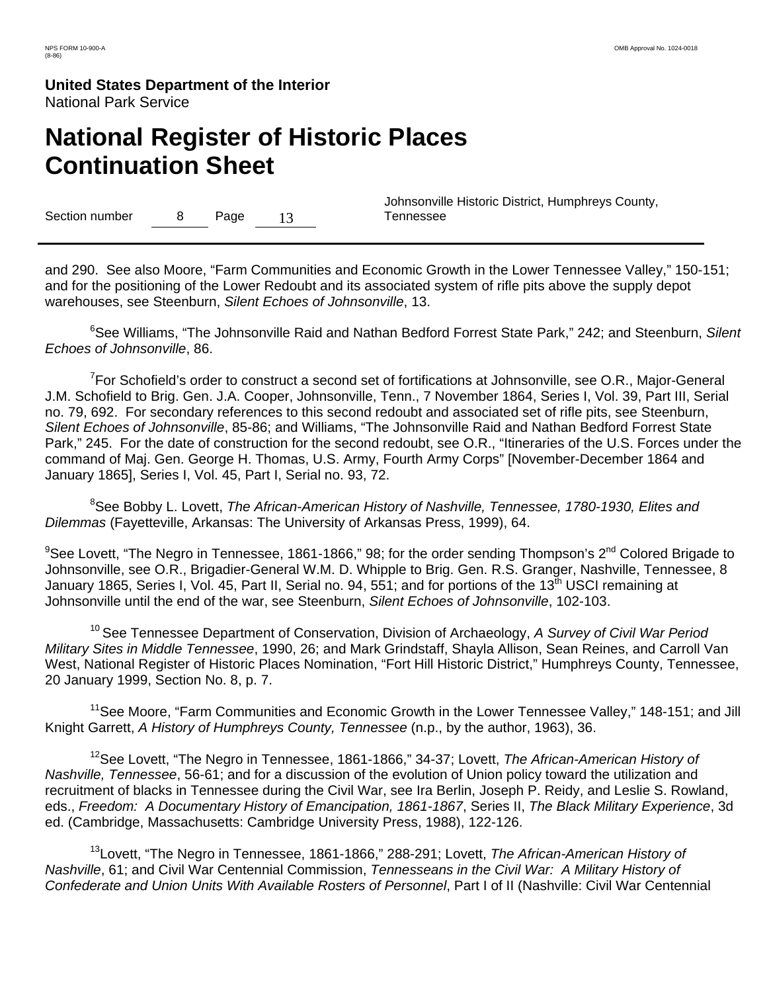# **National Register of Historic Places Continuation Sheet**

Section number 8 Page 13

 Johnsonville Historic District, Humphreys County, Tennessee

and 290. See also Moore, "Farm Communities and Economic Growth in the Lower Tennessee Valley," 150-151; and for the positioning of the Lower Redoubt and its associated system of rifle pits above the supply depot warehouses, see Steenburn, *Silent Echoes of Johnsonville*, 13.

6 See Williams, "The Johnsonville Raid and Nathan Bedford Forrest State Park," 242; and Steenburn, *Silent Echoes of Johnsonville*, 86.

<sup>7</sup> For Schofield's order to construct a second set of fortifications at Johnsonville, see O.R., Major-General J.M. Schofield to Brig. Gen. J.A. Cooper, Johnsonville, Tenn., 7 November 1864, Series I, Vol. 39, Part III, Serial no. 79, 692. For secondary references to this second redoubt and associated set of rifle pits, see Steenburn, *Silent Echoes of Johnsonville*, 85-86; and Williams, "The Johnsonville Raid and Nathan Bedford Forrest State Park," 245. For the date of construction for the second redoubt, see O.R., "Itineraries of the U.S. Forces under the command of Maj. Gen. George H. Thomas, U.S. Army, Fourth Army Corps" [November-December 1864 and January 1865], Series I, Vol. 45, Part I, Serial no. 93, 72.

8 See Bobby L. Lovett, *The African-American History of Nashville, Tennessee, 1780-1930, Elites and Dilemmas* (Fayetteville, Arkansas: The University of Arkansas Press, 1999), 64.

 $^9$ See Lovett, "The Negro in Tennessee, 1861-1866," 98; for the order sending Thompson's 2<sup>nd</sup> Colored Brigade to Johnsonville, see O.R., Brigadier-General W.M. D. Whipple to Brig. Gen. R.S. Granger, Nashville, Tennessee, 8 January 1865, Series I, Vol. 45, Part II, Serial no. 94, 551; and for portions of the 13<sup>th</sup> USCI remaining at Johnsonville until the end of the war, see Steenburn, *Silent Echoes of Johnsonville*, 102-103.

10 See Tennessee Department of Conservation, Division of Archaeology, *A Survey of Civil War Period Military Sites in Middle Tennessee*, 1990, 26; and Mark Grindstaff, Shayla Allison, Sean Reines, and Carroll Van West, National Register of Historic Places Nomination, "Fort Hill Historic District," Humphreys County, Tennessee, 20 January 1999, Section No. 8, p. 7.

<sup>11</sup>See Moore, "Farm Communities and Economic Growth in the Lower Tennessee Valley," 148-151; and Jill Knight Garrett, *A History of Humphreys County, Tennessee* (n.p., by the author, 1963), 36.

12See Lovett, "The Negro in Tennessee, 1861-1866," 34-37; Lovett, *The African-American History of Nashville, Tennessee*, 56-61; and for a discussion of the evolution of Union policy toward the utilization and recruitment of blacks in Tennessee during the Civil War, see Ira Berlin, Joseph P. Reidy, and Leslie S. Rowland, eds., *Freedom: A Documentary History of Emancipation, 1861-1867*, Series II, *The Black Military Experience*, 3d ed. (Cambridge, Massachusetts: Cambridge University Press, 1988), 122-126.

13Lovett, "The Negro in Tennessee, 1861-1866," 288-291; Lovett, *The African-American History of Nashville*, 61; and Civil War Centennial Commission, *Tennesseans in the Civil War: A Military History of Confederate and Union Units With Available Rosters of Personnel*, Part I of II (Nashville: Civil War Centennial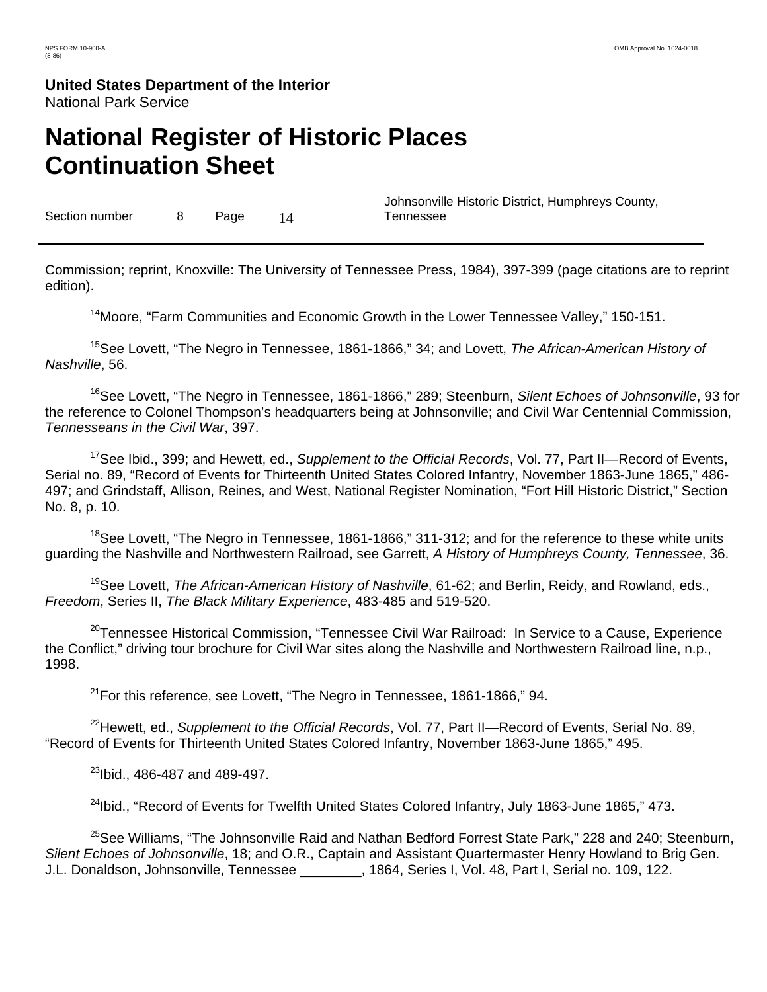# **National Register of Historic Places Continuation Sheet**

Section number 8 Page 14

 Johnsonville Historic District, Humphreys County, Tennessee

Commission; reprint, Knoxville: The University of Tennessee Press, 1984), 397-399 (page citations are to reprint edition).

<sup>14</sup> Moore, "Farm Communities and Economic Growth in the Lower Tennessee Valley," 150-151.

15See Lovett, "The Negro in Tennessee, 1861-1866," 34; and Lovett, *The African-American History of Nashville*, 56.

16See Lovett, "The Negro in Tennessee, 1861-1866," 289; Steenburn, *Silent Echoes of Johnsonville*, 93 for the reference to Colonel Thompson's headquarters being at Johnsonville; and Civil War Centennial Commission, *Tennesseans in the Civil War*, 397.

17See Ibid., 399; and Hewett, ed., *Supplement to the Official Records*, Vol. 77, Part II—Record of Events, Serial no. 89, "Record of Events for Thirteenth United States Colored Infantry, November 1863-June 1865," 486- 497; and Grindstaff, Allison, Reines, and West, National Register Nomination, "Fort Hill Historic District," Section No. 8, p. 10.

 $18$ See Lovett, "The Negro in Tennessee, 1861-1866," 311-312; and for the reference to these white units guarding the Nashville and Northwestern Railroad, see Garrett, *A History of Humphreys County, Tennessee*, 36.

19See Lovett, *The African-American History of Nashville*, 61-62; and Berlin, Reidy, and Rowland, eds., *Freedom*, Series II, *The Black Military Experience*, 483-485 and 519-520.

<sup>20</sup>Tennessee Historical Commission, "Tennessee Civil War Railroad: In Service to a Cause, Experience the Conflict," driving tour brochure for Civil War sites along the Nashville and Northwestern Railroad line, n.p., 1998.

 $21$ For this reference, see Lovett, "The Negro in Tennessee, 1861-1866," 94.

22Hewett, ed., *Supplement to the Official Records*, Vol. 77, Part II—Record of Events, Serial No. 89, "Record of Events for Thirteenth United States Colored Infantry, November 1863-June 1865," 495.

23Ibid., 486-487 and 489-497.

<sup>24</sup>Ibid., "Record of Events for Twelfth United States Colored Infantry, July 1863-June 1865," 473.

<sup>25</sup>See Williams, "The Johnsonville Raid and Nathan Bedford Forrest State Park," 228 and 240; Steenburn, *Silent Echoes of Johnsonville*, 18; and O.R., Captain and Assistant Quartermaster Henry Howland to Brig Gen. J.L. Donaldson, Johnsonville, Tennessee \_\_\_\_\_\_\_\_, 1864, Series I, Vol. 48, Part I, Serial no. 109, 122.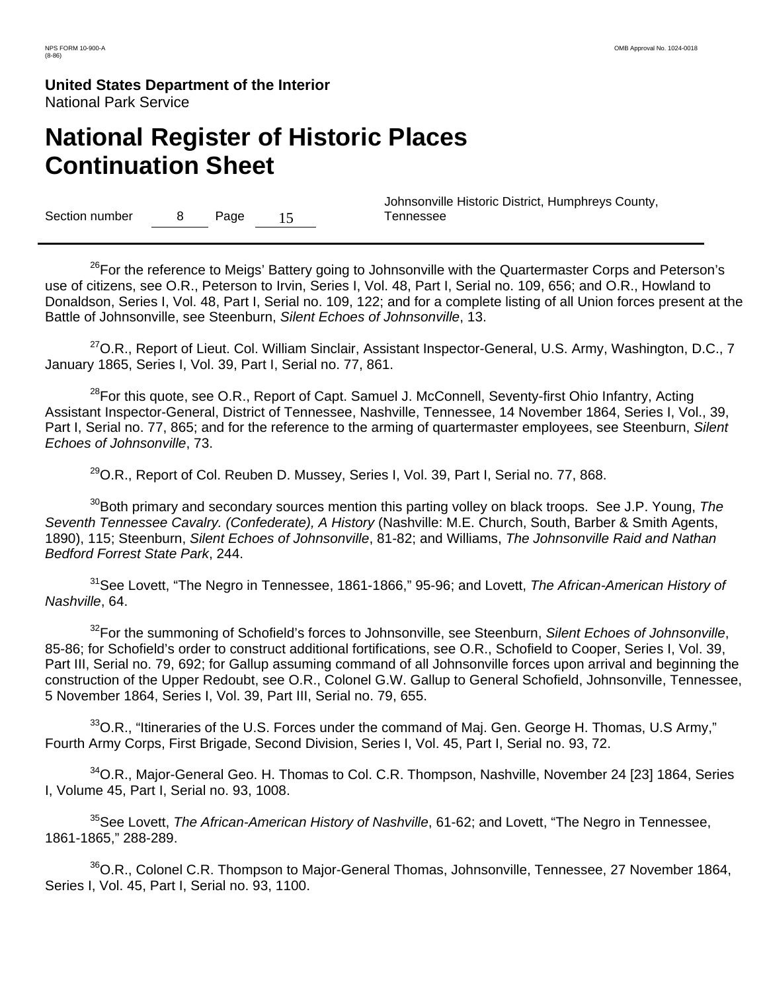# **National Register of Historic Places Continuation Sheet**

Section number 8 Page 15

 Johnsonville Historic District, Humphreys County, Tennessee

<sup>26</sup>For the reference to Meigs' Battery going to Johnsonville with the Quartermaster Corps and Peterson's use of citizens, see O.R., Peterson to Irvin, Series I, Vol. 48, Part I, Serial no. 109, 656; and O.R., Howland to Donaldson, Series I, Vol. 48, Part I, Serial no. 109, 122; and for a complete listing of all Union forces present at the Battle of Johnsonville, see Steenburn, *Silent Echoes of Johnsonville*, 13.

<sup>27</sup>O.R., Report of Lieut. Col. William Sinclair, Assistant Inspector-General, U.S. Army, Washington, D.C., 7 January 1865, Series I, Vol. 39, Part I, Serial no. 77, 861.

<sup>28</sup>For this quote, see O.R., Report of Capt. Samuel J. McConnell, Seventy-first Ohio Infantry, Acting Assistant Inspector-General, District of Tennessee, Nashville, Tennessee, 14 November 1864, Series I, Vol., 39, Part I, Serial no. 77, 865; and for the reference to the arming of quartermaster employees, see Steenburn, *Silent Echoes of Johnsonville*, 73.

 $^{29}$ O.R., Report of Col. Reuben D. Mussey, Series I, Vol. 39, Part I, Serial no. 77, 868.

30Both primary and secondary sources mention this parting volley on black troops. See J.P. Young, *The Seventh Tennessee Cavalry. (Confederate), A History* (Nashville: M.E. Church, South, Barber & Smith Agents, 1890), 115; Steenburn, *Silent Echoes of Johnsonville*, 81-82; and Williams, *The Johnsonville Raid and Nathan Bedford Forrest State Park*, 244.

31See Lovett, "The Negro in Tennessee, 1861-1866," 95-96; and Lovett, *The African-American History of Nashville*, 64.

<sup>32</sup>For the summoning of Schofield's forces to Johnsonville, see Steenburn, Silent Echoes of Johnsonville, 85-86; for Schofield's order to construct additional fortifications, see O.R., Schofield to Cooper, Series I, Vol. 39, Part III, Serial no. 79, 692; for Gallup assuming command of all Johnsonville forces upon arrival and beginning the construction of the Upper Redoubt, see O.R., Colonel G.W. Gallup to General Schofield, Johnsonville, Tennessee, 5 November 1864, Series I, Vol. 39, Part III, Serial no. 79, 655.

 $33$ O.R., "Itineraries of the U.S. Forces under the command of Maj. Gen. George H. Thomas, U.S Army," Fourth Army Corps, First Brigade, Second Division, Series I, Vol. 45, Part I, Serial no. 93, 72.

<sup>34</sup>O.R., Major-General Geo. H. Thomas to Col. C.R. Thompson, Nashville, November 24 [23] 1864, Series I, Volume 45, Part I, Serial no. 93, 1008.

35See Lovett, *The African-American History of Nashville*, 61-62; and Lovett, "The Negro in Tennessee, 1861-1865," 288-289.

<sup>36</sup>O.R., Colonel C.R. Thompson to Major-General Thomas, Johnsonville, Tennessee, 27 November 1864, Series I, Vol. 45, Part I, Serial no. 93, 1100.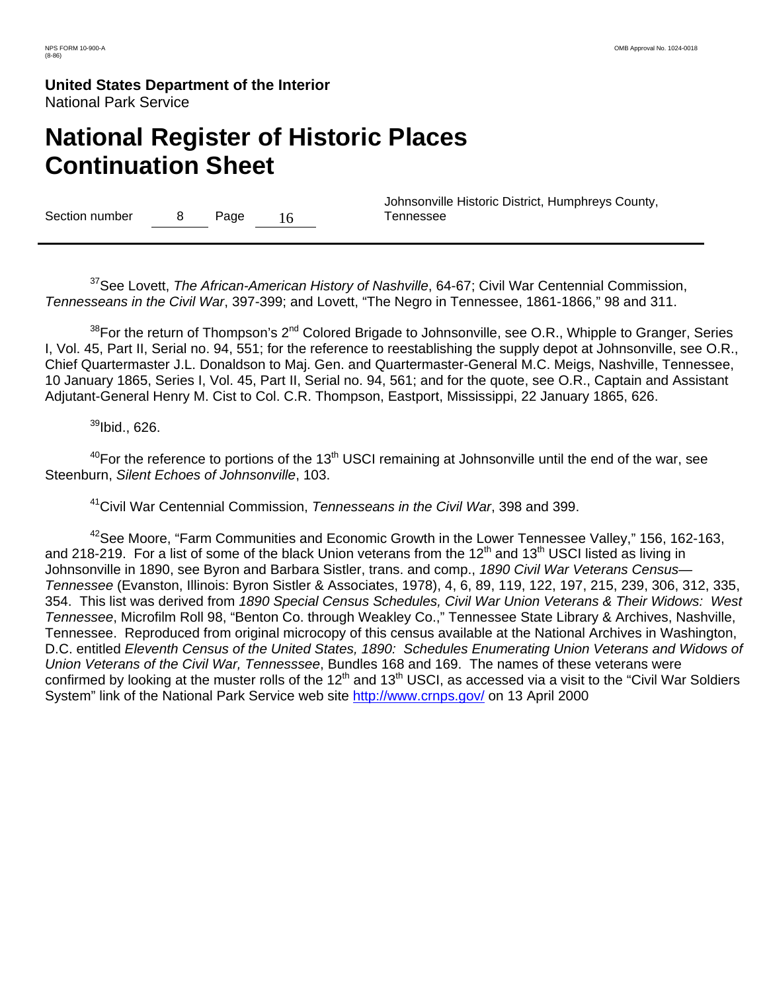# **National Register of Historic Places Continuation Sheet**

Section number 8 Page 16

 Johnsonville Historic District, Humphreys County, Tennessee

37See Lovett, *The African-American History of Nashville*, 64-67; Civil War Centennial Commission, *Tennesseans in the Civil War*, 397-399; and Lovett, "The Negro in Tennessee, 1861-1866," 98 and 311.

 $38$ For the return of Thompson's 2<sup>nd</sup> Colored Brigade to Johnsonville, see O.R., Whipple to Granger, Series I, Vol. 45, Part II, Serial no. 94, 551; for the reference to reestablishing the supply depot at Johnsonville, see O.R., Chief Quartermaster J.L. Donaldson to Maj. Gen. and Quartermaster-General M.C. Meigs, Nashville, Tennessee, 10 January 1865, Series I, Vol. 45, Part II, Serial no. 94, 561; and for the quote, see O.R., Captain and Assistant Adjutant-General Henry M. Cist to Col. C.R. Thompson, Eastport, Mississippi, 22 January 1865, 626.

 $39$ Ibid., 626.

 $40$ For the reference to portions of the 13<sup>th</sup> USCI remaining at Johnsonville until the end of the war, see Steenburn, *Silent Echoes of Johnsonville*, 103.

41Civil War Centennial Commission, *Tennesseans in the Civil War*, 398 and 399.

<sup>42</sup>See Moore, "Farm Communities and Economic Growth in the Lower Tennessee Valley," 156, 162-163, and 218-219. For a list of some of the black Union veterans from the 12<sup>th</sup> and 13<sup>th</sup> USCI listed as living in Johnsonville in 1890, see Byron and Barbara Sistler, trans. and comp., *1890 Civil War Veterans Census— Tennessee* (Evanston, Illinois: Byron Sistler & Associates, 1978), 4, 6, 89, 119, 122, 197, 215, 239, 306, 312, 335, 354. This list was derived from *1890 Special Census Schedules, Civil War Union Veterans & Their Widows: West Tennessee*, Microfilm Roll 98, "Benton Co. through Weakley Co.," Tennessee State Library & Archives, Nashville, Tennessee. Reproduced from original microcopy of this census available at the National Archives in Washington, D.C. entitled *Eleventh Census of the United States, 1890: Schedules Enumerating Union Veterans and Widows of Union Veterans of the Civil War, Tennesssee*, Bundles 168 and 169. The names of these veterans were confirmed by looking at the muster rolls of the  $12<sup>th</sup>$  and  $13<sup>th</sup>$  USCI, as accessed via a visit to the "Civil War Soldiers System" link of the National Park Service web site http://www.crnps.gov/ on 13 April 2000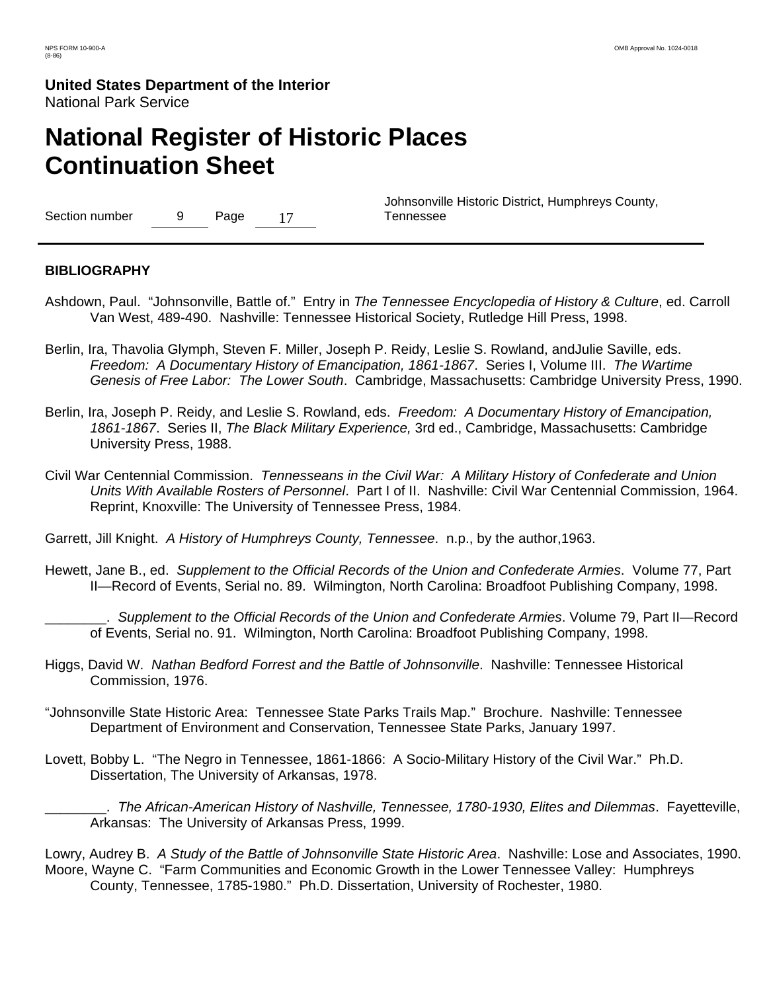# **National Register of Historic Places Continuation Sheet**

Section number 9 Page 17

 Johnsonville Historic District, Humphreys County, Tennessee

#### **BIBLIOGRAPHY**

- Ashdown, Paul. "Johnsonville, Battle of." Entry in *The Tennessee Encyclopedia of History & Culture*, ed. Carroll Van West, 489-490. Nashville: Tennessee Historical Society, Rutledge Hill Press, 1998.
- Berlin, Ira, Thavolia Glymph, Steven F. Miller, Joseph P. Reidy, Leslie S. Rowland, andJulie Saville, eds. *Freedom: A Documentary History of Emancipation, 1861-1867*. Series I, Volume III. *The Wartime Genesis of Free Labor: The Lower South*. Cambridge, Massachusetts: Cambridge University Press, 1990.
- Berlin, Ira, Joseph P. Reidy, and Leslie S. Rowland, eds. *Freedom: A Documentary History of Emancipation, 1861-1867*. Series II, *The Black Military Experience,* 3rd ed., Cambridge, Massachusetts: Cambridge University Press, 1988.
- Civil War Centennial Commission. *Tennesseans in the Civil War: A Military History of Confederate and Union Units With Available Rosters of Personnel*. Part I of II. Nashville: Civil War Centennial Commission, 1964. Reprint, Knoxville: The University of Tennessee Press, 1984.
- Garrett, Jill Knight. *A History of Humphreys County, Tennessee*. n.p., by the author,1963.
- Hewett, Jane B., ed. *Supplement to the Official Records of the Union and Confederate Armies*. Volume 77, Part II—Record of Events, Serial no. 89. Wilmington, North Carolina: Broadfoot Publishing Company, 1998.

\_\_\_\_\_\_\_\_. *Supplement to the Official Records of the Union and Confederate Armies*. Volume 79, Part II—Record of Events, Serial no. 91. Wilmington, North Carolina: Broadfoot Publishing Company, 1998.

- Higgs, David W. *Nathan Bedford Forrest and the Battle of Johnsonville*. Nashville: Tennessee Historical Commission, 1976.
- "Johnsonville State Historic Area: Tennessee State Parks Trails Map." Brochure. Nashville: Tennessee Department of Environment and Conservation, Tennessee State Parks, January 1997.
- Lovett, Bobby L. "The Negro in Tennessee, 1861-1866: A Socio-Military History of the Civil War." Ph.D. Dissertation, The University of Arkansas, 1978.

\_\_\_\_\_\_\_\_. *The African-American History of Nashville, Tennessee, 1780-1930, Elites and Dilemmas*. Fayetteville, Arkansas: The University of Arkansas Press, 1999.

Lowry, Audrey B. *A Study of the Battle of Johnsonville State Historic Area*. Nashville: Lose and Associates, 1990. Moore, Wayne C. "Farm Communities and Economic Growth in the Lower Tennessee Valley: Humphreys County, Tennessee, 1785-1980." Ph.D. Dissertation, University of Rochester, 1980.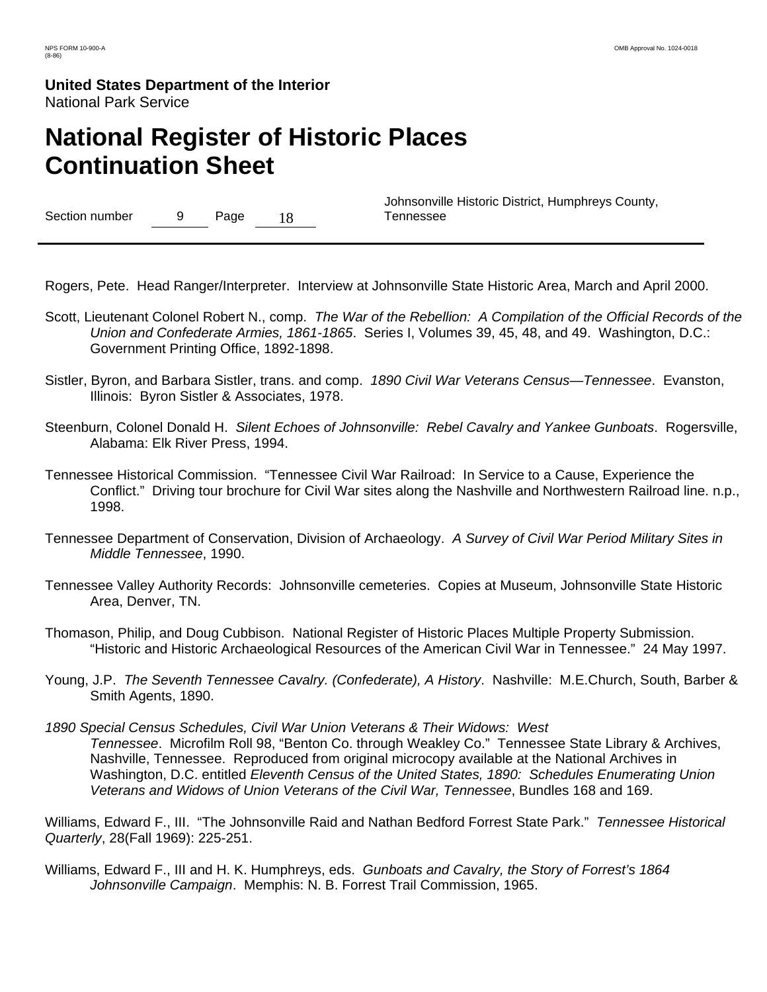# **National Register of Historic Places Continuation Sheet**

Section number 9 Page 18

 Johnsonville Historic District, Humphreys County, Tennessee

Rogers, Pete. Head Ranger/Interpreter. Interview at Johnsonville State Historic Area, March and April 2000.

- Scott, Lieutenant Colonel Robert N., comp. *The War of the Rebellion: A Compilation of the Official Records of the Union and Confederate Armies, 1861-1865*. Series I, Volumes 39, 45, 48, and 49. Washington, D.C.: Government Printing Office, 1892-1898.
- Sistler, Byron, and Barbara Sistler, trans. and comp. *1890 Civil War Veterans Census—Tennessee*. Evanston, Illinois: Byron Sistler & Associates, 1978.
- Steenburn, Colonel Donald H. *Silent Echoes of Johnsonville: Rebel Cavalry and Yankee Gunboats*. Rogersville, Alabama: Elk River Press, 1994.
- Tennessee Historical Commission. "Tennessee Civil War Railroad: In Service to a Cause, Experience the Conflict." Driving tour brochure for Civil War sites along the Nashville and Northwestern Railroad line. n.p., 1998.
- Tennessee Department of Conservation, Division of Archaeology. *A Survey of Civil War Period Military Sites in Middle Tennessee*, 1990.
- Tennessee Valley Authority Records: Johnsonville cemeteries. Copies at Museum, Johnsonville State Historic Area, Denver, TN.
- Thomason, Philip, and Doug Cubbison. National Register of Historic Places Multiple Property Submission. "Historic and Historic Archaeological Resources of the American Civil War in Tennessee." 24 May 1997.
- Young, J.P. *The Seventh Tennessee Cavalry. (Confederate), A History*. Nashville: M.E.Church, South, Barber & Smith Agents, 1890.
- *1890 Special Census Schedules, Civil War Union Veterans & Their Widows: West Tennessee*. Microfilm Roll 98, "Benton Co. through Weakley Co." Tennessee State Library & Archives, Nashville, Tennessee. Reproduced from original microcopy available at the National Archives in Washington, D.C. entitled *Eleventh Census of the United States, 1890: Schedules Enumerating Union Veterans and Widows of Union Veterans of the Civil War, Tennessee*, Bundles 168 and 169.

Williams, Edward F., III. "The Johnsonville Raid and Nathan Bedford Forrest State Park." *Tennessee Historical Quarterly*, 28(Fall 1969): 225-251.

Williams, Edward F., III and H. K. Humphreys, eds. *Gunboats and Cavalry, the Story of Forrest's 1864 Johnsonville Campaign*. Memphis: N. B. Forrest Trail Commission, 1965.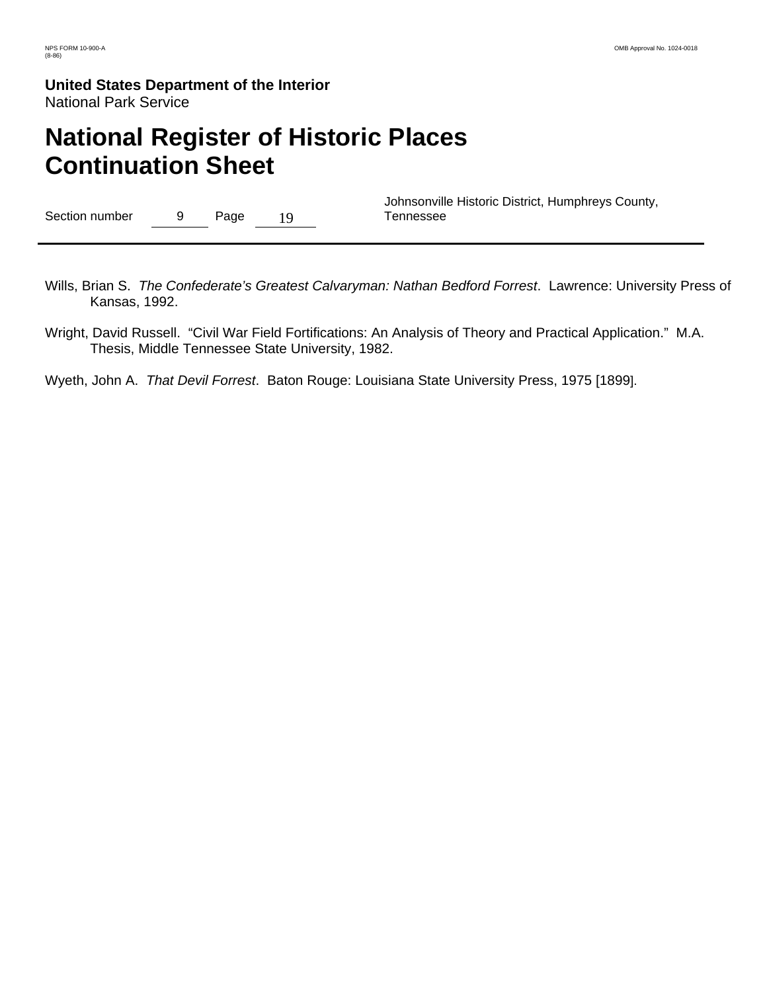# **National Register of Historic Places Continuation Sheet**

| Section number |  | Page | 19 |  |
|----------------|--|------|----|--|
|----------------|--|------|----|--|

 Johnsonville Historic District, Humphreys County, Tennessee

- Wills, Brian S. *The Confederate's Greatest Calvaryman: Nathan Bedford Forrest*. Lawrence: University Press of Kansas, 1992.
- Wright, David Russell. "Civil War Field Fortifications: An Analysis of Theory and Practical Application." M.A. Thesis, Middle Tennessee State University, 1982.

Wyeth, John A. *That Devil Forrest*. Baton Rouge: Louisiana State University Press, 1975 [1899].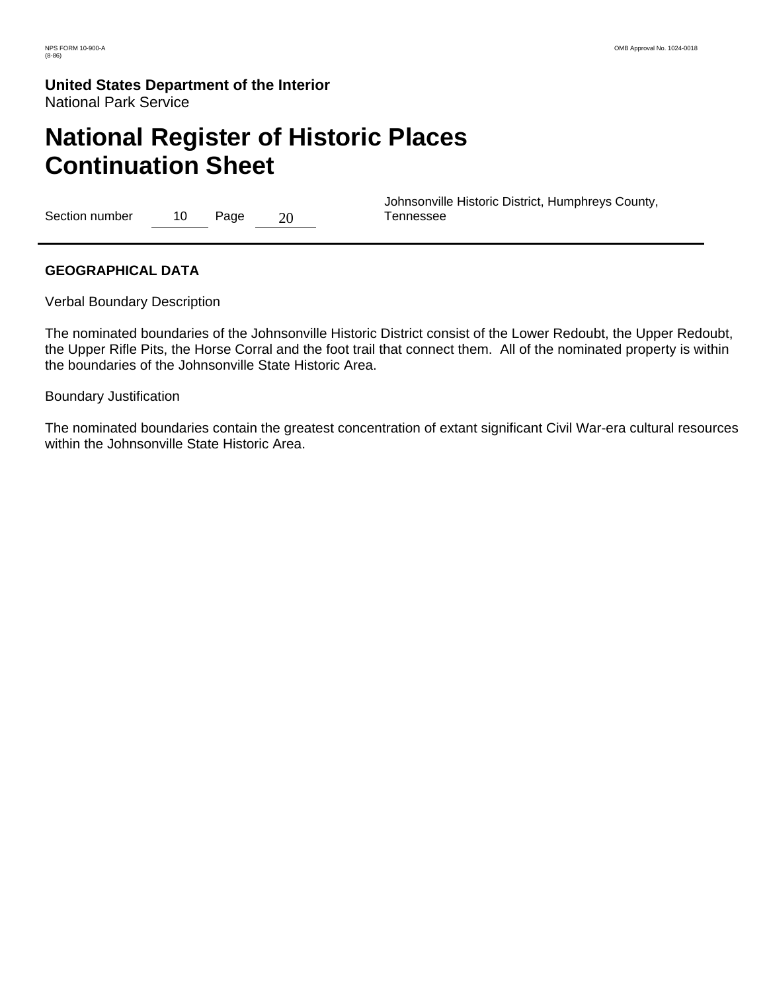# **National Register of Historic Places Continuation Sheet**

Section number 10 Page 20

 Johnsonville Historic District, Humphreys County, Tennessee

### **GEOGRAPHICAL DATA**

Verbal Boundary Description

The nominated boundaries of the Johnsonville Historic District consist of the Lower Redoubt, the Upper Redoubt, the Upper Rifle Pits, the Horse Corral and the foot trail that connect them. All of the nominated property is within the boundaries of the Johnsonville State Historic Area.

#### Boundary Justification

The nominated boundaries contain the greatest concentration of extant significant Civil War-era cultural resources within the Johnsonville State Historic Area.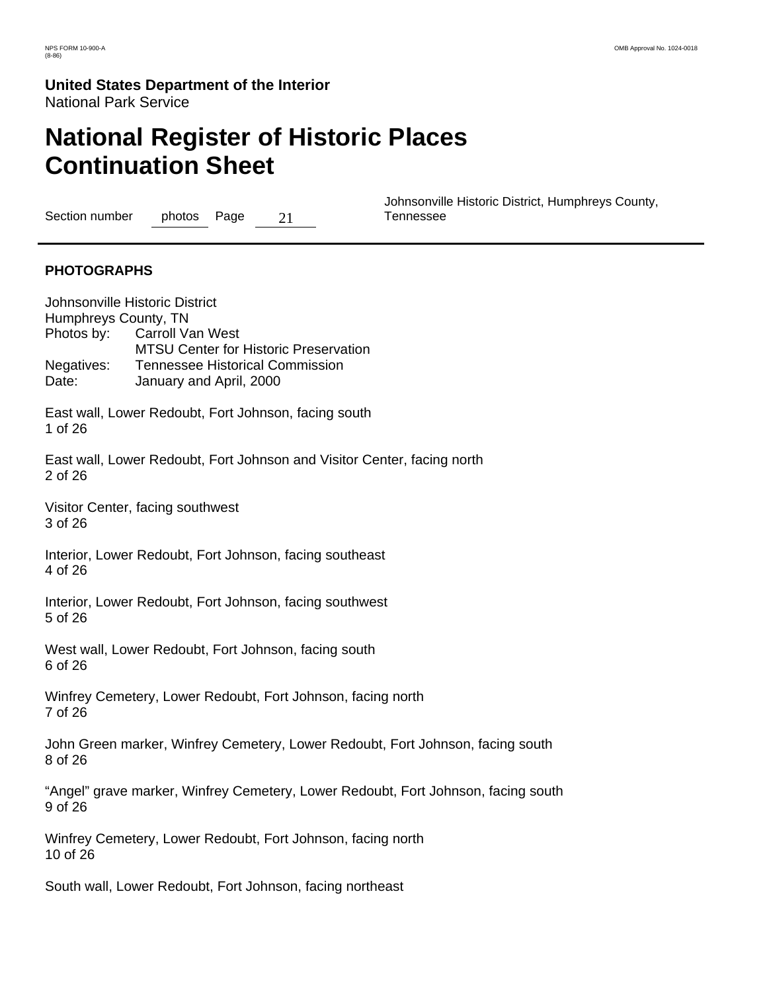# **National Register of Historic Places Continuation Sheet**

Section number photos Page 21

 Johnsonville Historic District, Humphreys County, Tennessee

### **PHOTOGRAPHS**

Johnsonville Historic District Humphreys County, TN Photos by: Carroll Van West MTSU Center for Historic Preservation Negatives: Tennessee Historical Commission Date: January and April, 2000 East wall, Lower Redoubt, Fort Johnson, facing south 1 of 26 East wall, Lower Redoubt, Fort Johnson and Visitor Center, facing north 2 of 26 Visitor Center, facing southwest 3 of 26 Interior, Lower Redoubt, Fort Johnson, facing southeast 4 of 26 Interior, Lower Redoubt, Fort Johnson, facing southwest 5 of 26 West wall, Lower Redoubt, Fort Johnson, facing south 6 of 26 Winfrey Cemetery, Lower Redoubt, Fort Johnson, facing north 7 of 26 John Green marker, Winfrey Cemetery, Lower Redoubt, Fort Johnson, facing south 8 of 26 "Angel" grave marker, Winfrey Cemetery, Lower Redoubt, Fort Johnson, facing south 9 of 26 Winfrey Cemetery, Lower Redoubt, Fort Johnson, facing north 10 of 26 South wall, Lower Redoubt, Fort Johnson, facing northeast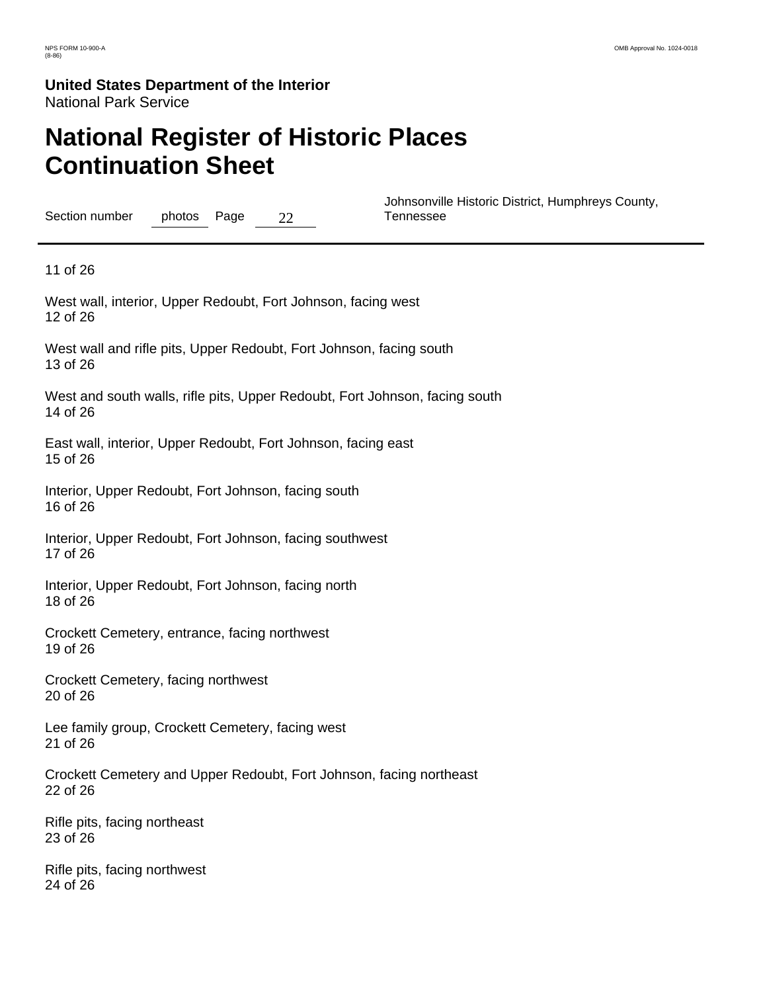# **National Register of Historic Places Continuation Sheet**

Section number photos Page 22

 Johnsonville Historic District, Humphreys County, Tennessee

11 of 26

West wall, interior, Upper Redoubt, Fort Johnson, facing west 12 of 26

West wall and rifle pits, Upper Redoubt, Fort Johnson, facing south 13 of 26

West and south walls, rifle pits, Upper Redoubt, Fort Johnson, facing south 14 of 26

East wall, interior, Upper Redoubt, Fort Johnson, facing east 15 of 26

Interior, Upper Redoubt, Fort Johnson, facing south 16 of 26

Interior, Upper Redoubt, Fort Johnson, facing southwest 17 of 26

Interior, Upper Redoubt, Fort Johnson, facing north 18 of 26

Crockett Cemetery, entrance, facing northwest 19 of 26

Crockett Cemetery, facing northwest 20 of 26

Lee family group, Crockett Cemetery, facing west 21 of 26

Crockett Cemetery and Upper Redoubt, Fort Johnson, facing northeast 22 of 26

Rifle pits, facing northeast 23 of 26

Rifle pits, facing northwest 24 of 26